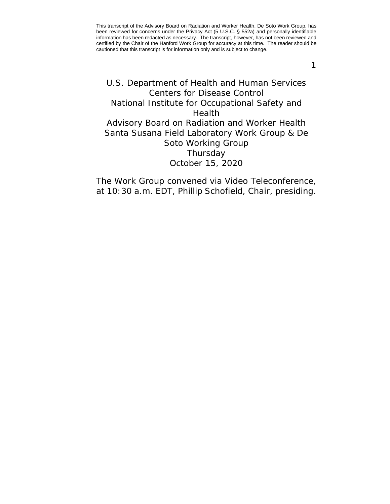1

# <span id="page-0-0"></span>U.S. Department of Health and Human Services Centers for Disease Control National Institute for Occupational Safety and Health Advisory Board on Radiation and Worker Health Santa Susana Field Laboratory Work Group & De Soto Working Group Thursday October 15, 2020

The Work Group convened via Video Teleconference, at 10:30 a.m. EDT, Phillip Schofield, Chair, presiding.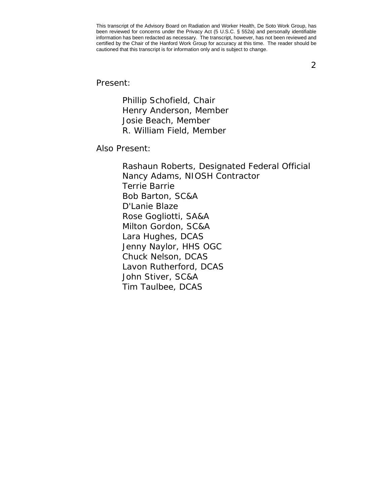2

Present:

Phillip Schofield, Chair Henry Anderson, Member Josie Beach, Member R. William Field, Member

Also Present:

Rashaun Roberts, Designated Federal Official Nancy Adams, NIOSH Contractor Terrie Barrie Bob Barton, SC&A D'Lanie Blaze Rose Gogliotti, SA&A Milton Gordon, SC&A Lara Hughes, DCAS Jenny Naylor, HHS OGC Chuck Nelson, DCAS Lavon Rutherford, DCAS John Stiver, SC&A Tim Taulbee, DCAS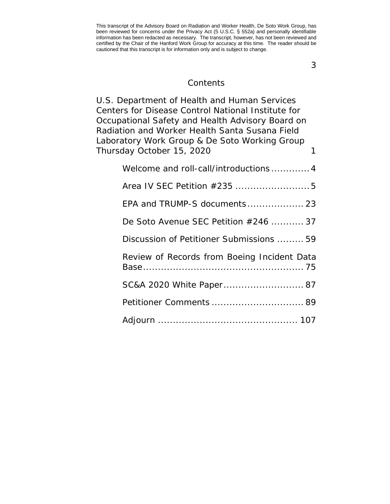3

#### **Contents**

[U.S. Department of Health and Human Services](#page-0-0)  [Centers for Disease Control National Institute for](#page-0-0)  [Occupational Safety and Health Advisory Board on](#page-0-0)  [Radiation and Worker Health Santa Susana Field](#page-0-0)  [Laboratory Work Group & De Soto Working Group](#page-0-0)  [Thursday October 15, 2020](#page-0-0) 1

| Welcome and roll-call/introductions4        |
|---------------------------------------------|
|                                             |
| EPA and TRUMP-S documents 23                |
| De Soto Avenue SEC Petition #246  37        |
| Discussion of Petitioner Submissions  59    |
| Review of Records from Boeing Incident Data |
| SC&A 2020 White Paper 87                    |
|                                             |
|                                             |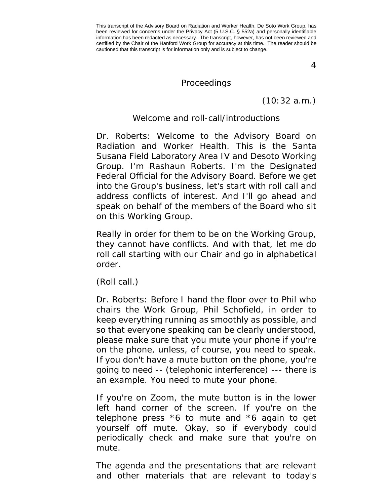4

#### Proceedings

(10:32 a.m.)

### Welcome and roll-call/introductions

<span id="page-3-0"></span>Dr. Roberts: Welcome to the Advisory Board on Radiation and Worker Health. This is the Santa Susana Field Laboratory Area IV and Desoto Working Group. I'm Rashaun Roberts. I'm the Designated Federal Official for the Advisory Board. Before we get into the Group's business, let's start with roll call and address conflicts of interest. And I'll go ahead and speak on behalf of the members of the Board who sit on this Working Group.

Really in order for them to be on the Working Group, they cannot have conflicts. And with that, let me do roll call starting with our Chair and go in alphabetical order.

(Roll call.)

Dr. Roberts: Before I hand the floor over to Phil who chairs the Work Group, Phil Schofield, in order to keep everything running as smoothly as possible, and so that everyone speaking can be clearly understood, please make sure that you mute your phone if you're on the phone, unless, of course, you need to speak. If you don't have a mute button on the phone, you're going to need -- (telephonic interference) --- there is an example. You need to mute your phone.

If you're on Zoom, the mute button is in the lower left hand corner of the screen. If you're on the telephone press \*6 to mute and \*6 again to get yourself off mute. Okay, so if everybody could periodically check and make sure that you're on mute.

The agenda and the presentations that are relevant and other materials that are relevant to today's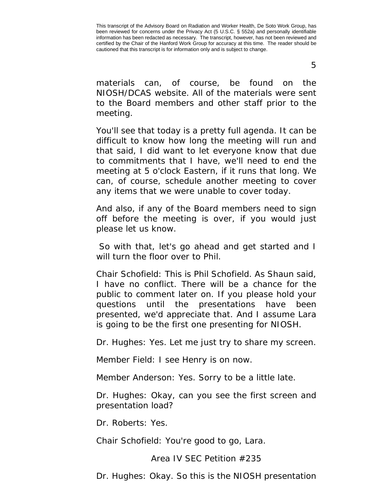5

materials can, of course, be found on the NIOSH/DCAS website. All of the materials were sent to the Board members and other staff prior to the meeting.

You'll see that today is a pretty full agenda. It can be difficult to know how long the meeting will run and that said, I did want to let everyone know that due to commitments that I have, we'll need to end the meeting at 5 o'clock Eastern, if it runs that long. We can, of course, schedule another meeting to cover any items that we were unable to cover today.

And also, if any of the Board members need to sign off before the meeting is over, if you would just please let us know.

So with that, let's go ahead and get started and I will turn the floor over to Phil.

Chair Schofield: This is Phil Schofield. As Shaun said, I have no conflict. There will be a chance for the public to comment later on. If you please hold your questions until the presentations have been presented, we'd appreciate that. And I assume Lara is going to be the first one presenting for NIOSH.

Dr. Hughes: Yes. Let me just try to share my screen.

Member Field: I see Henry is on now.

Member Anderson: Yes. Sorry to be a little late.

Dr. Hughes: Okay, can you see the first screen and presentation load?

Dr. Roberts: Yes.

<span id="page-4-0"></span>Chair Schofield: You're good to go, Lara.

Area IV SEC Petition #235

Dr. Hughes: Okay. So this is the NIOSH presentation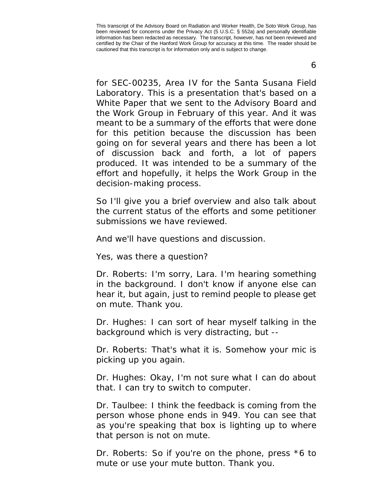6

for SEC-00235, Area IV for the Santa Susana Field Laboratory. This is a presentation that's based on a White Paper that we sent to the Advisory Board and the Work Group in February of this year. And it was meant to be a summary of the efforts that were done for this petition because the discussion has been going on for several years and there has been a lot of discussion back and forth, a lot of papers produced. It was intended to be a summary of the effort and hopefully, it helps the Work Group in the decision-making process.

So I'll give you a brief overview and also talk about the current status of the efforts and some petitioner submissions we have reviewed.

And we'll have questions and discussion.

Yes, was there a question?

Dr. Roberts: I'm sorry, Lara. I'm hearing something in the background. I don't know if anyone else can hear it, but again, just to remind people to please get on mute. Thank you.

Dr. Hughes: I can sort of hear myself talking in the background which is very distracting, but --

Dr. Roberts: That's what it is. Somehow your mic is picking up you again.

Dr. Hughes: Okay, I'm not sure what I can do about that. I can try to switch to computer.

Dr. Taulbee: I think the feedback is coming from the person whose phone ends in 949. You can see that as you're speaking that box is lighting up to where that person is not on mute.

Dr. Roberts: So if you're on the phone, press \*6 to mute or use your mute button. Thank you.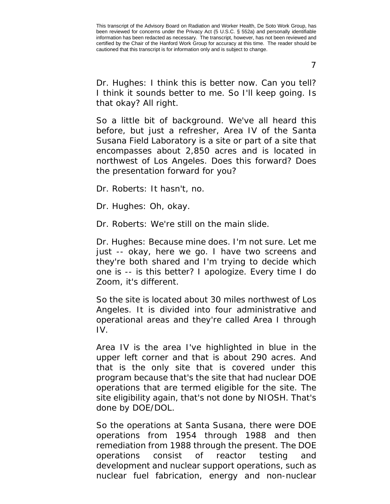7

Dr. Hughes: I think this is better now. Can you tell? I think it sounds better to me. So I'll keep going. Is that okay? All right.

So a little bit of background. We've all heard this before, but just a refresher, Area IV of the Santa Susana Field Laboratory is a site or part of a site that encompasses about 2,850 acres and is located in northwest of Los Angeles. Does this forward? Does the presentation forward for you?

Dr. Roberts: It hasn't, no.

Dr. Hughes: Oh, okay.

Dr. Roberts: We're still on the main slide.

Dr. Hughes: Because mine does. I'm not sure. Let me just -- okay, here we go. I have two screens and they're both shared and I'm trying to decide which one is -- is this better? I apologize. Every time I do Zoom, it's different.

So the site is located about 30 miles northwest of Los Angeles. It is divided into four administrative and operational areas and they're called Area I through IV.

Area IV is the area I've highlighted in blue in the upper left corner and that is about 290 acres. And that is the only site that is covered under this program because that's the site that had nuclear DOE operations that are termed eligible for the site. The site eligibility again, that's not done by NIOSH. That's done by DOE/DOL.

So the operations at Santa Susana, there were DOE operations from 1954 through 1988 and then remediation from 1988 through the present. The DOE operations consist of reactor testing and development and nuclear support operations, such as nuclear fuel fabrication, energy and non-nuclear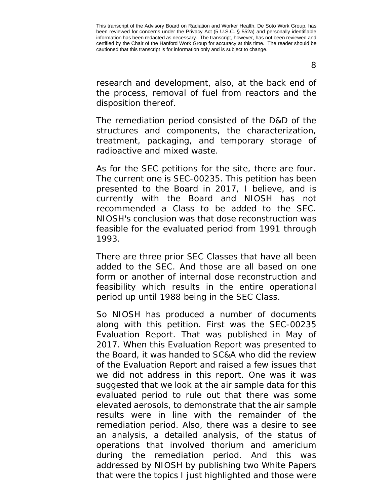research and development, also, at the back end of the process, removal of fuel from reactors and the disposition thereof.

The remediation period consisted of the D&D of the structures and components, the characterization, treatment, packaging, and temporary storage of radioactive and mixed waste.

As for the SEC petitions for the site, there are four. The current one is SEC-00235. This petition has been presented to the Board in 2017, I believe, and is currently with the Board and NIOSH has not recommended a Class to be added to the SEC. NIOSH's conclusion was that dose reconstruction was feasible for the evaluated period from 1991 through 1993.

There are three prior SEC Classes that have all been added to the SEC. And those are all based on one form or another of internal dose reconstruction and feasibility which results in the entire operational period up until 1988 being in the SEC Class.

So NIOSH has produced a number of documents along with this petition. First was the SEC-00235 Evaluation Report. That was published in May of 2017. When this Evaluation Report was presented to the Board, it was handed to SC&A who did the review of the Evaluation Report and raised a few issues that we did not address in this report. One was it was suggested that we look at the air sample data for this evaluated period to rule out that there was some elevated aerosols, to demonstrate that the air sample results were in line with the remainder of the remediation period. Also, there was a desire to see an analysis, a detailed analysis, of the status of operations that involved thorium and americium during the remediation period. And this was addressed by NIOSH by publishing two White Papers that were the topics I just highlighted and those were

8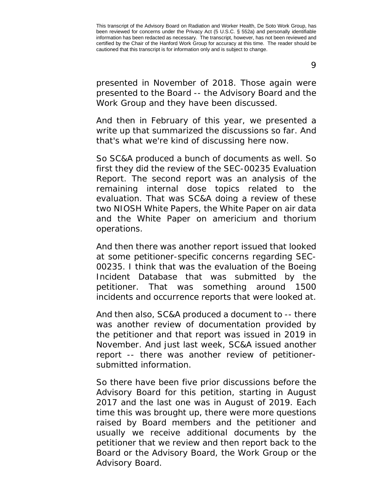presented in November of 2018. Those again were presented to the Board -- the Advisory Board and the Work Group and they have been discussed.

And then in February of this year, we presented a write up that summarized the discussions so far. And that's what we're kind of discussing here now.

So SC&A produced a bunch of documents as well. So first they did the review of the SEC-00235 Evaluation Report. The second report was an analysis of the remaining internal dose topics related to the evaluation. That was SC&A doing a review of these two NIOSH White Papers, the White Paper on air data and the White Paper on americium and thorium operations.

And then there was another report issued that looked at some petitioner-specific concerns regarding SEC-00235. I think that was the evaluation of the Boeing Incident Database that was submitted by the petitioner. That was something around 1500 incidents and occurrence reports that were looked at.

And then also, SC&A produced a document to -- there was another review of documentation provided by the petitioner and that report was issued in 2019 in November. And just last week, SC&A issued another report -- there was another review of petitionersubmitted information.

So there have been five prior discussions before the Advisory Board for this petition, starting in August 2017 and the last one was in August of 2019. Each time this was brought up, there were more questions raised by Board members and the petitioner and usually we receive additional documents by the petitioner that we review and then report back to the Board or the Advisory Board, the Work Group or the Advisory Board.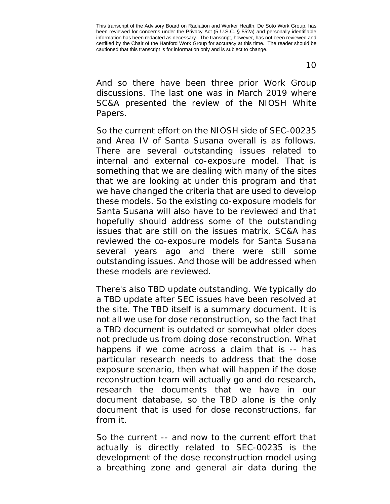10

And so there have been three prior Work Group discussions. The last one was in March 2019 where SC&A presented the review of the NIOSH White Papers.

So the current effort on the NIOSH side of SEC-00235 and Area IV of Santa Susana overall is as follows. There are several outstanding issues related to internal and external co-exposure model. That is something that we are dealing with many of the sites that we are looking at under this program and that we have changed the criteria that are used to develop these models. So the existing co-exposure models for Santa Susana will also have to be reviewed and that hopefully should address some of the outstanding issues that are still on the issues matrix. SC&A has reviewed the co-exposure models for Santa Susana several years ago and there were still some outstanding issues. And those will be addressed when these models are reviewed.

There's also TBD update outstanding. We typically do a TBD update after SEC issues have been resolved at the site. The TBD itself is a summary document. It is not all we use for dose reconstruction, so the fact that a TBD document is outdated or somewhat older does not preclude us from doing dose reconstruction. What happens if we come across a claim that is -- has particular research needs to address that the dose exposure scenario, then what will happen if the dose reconstruction team will actually go and do research, research the documents that we have in our document database, so the TBD alone is the only document that is used for dose reconstructions, far from it.

So the current -- and now to the current effort that actually is directly related to SEC-00235 is the development of the dose reconstruction model using a breathing zone and general air data during the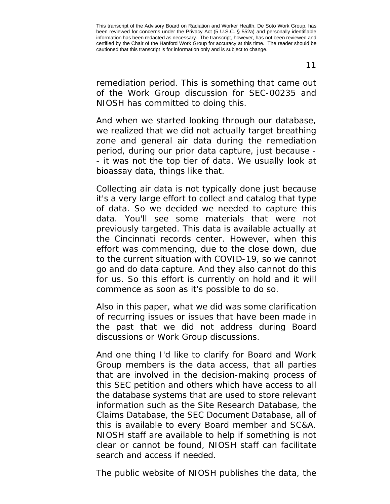remediation period. This is something that came out of the Work Group discussion for SEC-00235 and NIOSH has committed to doing this.

And when we started looking through our database, we realized that we did not actually target breathing zone and general air data during the remediation period, during our prior data capture, just because - - it was not the top tier of data. We usually look at bioassay data, things like that.

Collecting air data is not typically done just because it's a very large effort to collect and catalog that type of data. So we decided we needed to capture this data. You'll see some materials that were not previously targeted. This data is available actually at the Cincinnati records center. However, when this effort was commencing, due to the close down, due to the current situation with COVID-19, so we cannot go and do data capture. And they also cannot do this for us. So this effort is currently on hold and it will commence as soon as it's possible to do so.

Also in this paper, what we did was some clarification of recurring issues or issues that have been made in the past that we did not address during Board discussions or Work Group discussions.

And one thing I'd like to clarify for Board and Work Group members is the data access, that all parties that are involved in the decision-making process of this SEC petition and others which have access to all the database systems that are used to store relevant information such as the Site Research Database, the Claims Database, the SEC Document Database, all of this is available to every Board member and SC&A. NIOSH staff are available to help if something is not clear or cannot be found, NIOSH staff can facilitate search and access if needed.

The public website of NIOSH publishes the data, the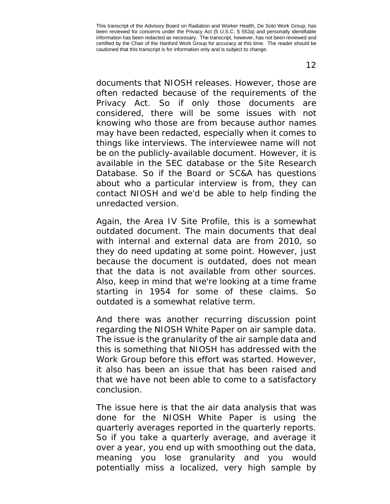documents that NIOSH releases. However, those are often redacted because of the requirements of the Privacy Act. So if only those documents are considered, there will be some issues with not knowing who those are from because author names may have been redacted, especially when it comes to things like interviews. The interviewee name will not be on the publicly-available document. However, it is available in the SEC database or the Site Research Database. So if the Board or SC&A has questions about who a particular interview is from, they can contact NIOSH and we'd be able to help finding the unredacted version.

Again, the Area IV Site Profile, this is a somewhat outdated document. The main documents that deal with internal and external data are from 2010, so they do need updating at some point. However, just because the document is outdated, does not mean that the data is not available from other sources. Also, keep in mind that we're looking at a time frame starting in 1954 for some of these claims. So outdated is a somewhat relative term.

And there was another recurring discussion point regarding the NIOSH White Paper on air sample data. The issue is the granularity of the air sample data and this is something that NIOSH has addressed with the Work Group before this effort was started. However, it also has been an issue that has been raised and that we have not been able to come to a satisfactory conclusion.

The issue here is that the air data analysis that was done for the NIOSH White Paper is using the quarterly averages reported in the quarterly reports. So if you take a quarterly average, and average it over a year, you end up with smoothing out the data, meaning you lose granularity and you would potentially miss a localized, very high sample by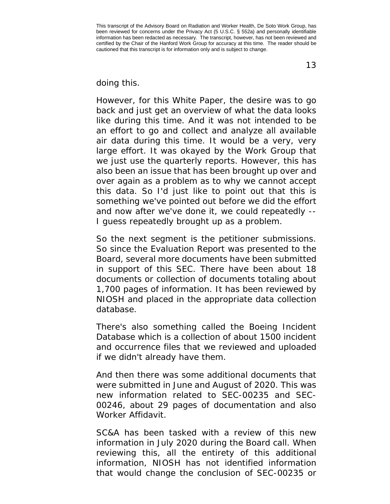13

## doing this.

However, for this White Paper, the desire was to go back and just get an overview of what the data looks like during this time. And it was not intended to be an effort to go and collect and analyze all available air data during this time. It would be a very, very large effort. It was okayed by the Work Group that we just use the quarterly reports. However, this has also been an issue that has been brought up over and over again as a problem as to why we cannot accept this data. So I'd just like to point out that this is something we've pointed out before we did the effort and now after we've done it, we could repeatedly -- I guess repeatedly brought up as a problem.

So the next segment is the petitioner submissions. So since the Evaluation Report was presented to the Board, several more documents have been submitted in support of this SEC. There have been about 18 documents or collection of documents totaling about 1,700 pages of information. It has been reviewed by NIOSH and placed in the appropriate data collection database.

There's also something called the Boeing Incident Database which is a collection of about 1500 incident and occurrence files that we reviewed and uploaded if we didn't already have them.

And then there was some additional documents that were submitted in June and August of 2020. This was new information related to SEC-00235 and SEC-00246, about 29 pages of documentation and also Worker Affidavit.

SC&A has been tasked with a review of this new information in July 2020 during the Board call. When reviewing this, all the entirety of this additional information, NIOSH has not identified information that would change the conclusion of SEC-00235 or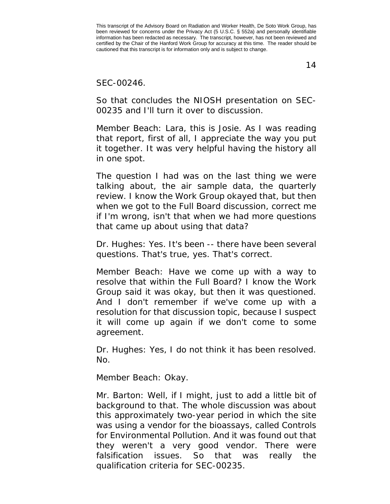14

SEC-00246.

So that concludes the NIOSH presentation on SEC-00235 and I'll turn it over to discussion.

Member Beach: Lara, this is Josie. As I was reading that report, first of all, I appreciate the way you put it together. It was very helpful having the history all in one spot.

The question I had was on the last thing we were talking about, the air sample data, the quarterly review. I know the Work Group okayed that, but then when we got to the Full Board discussion, correct me if I'm wrong, isn't that when we had more questions that came up about using that data?

Dr. Hughes: Yes. It's been -- there have been several questions. That's true, yes. That's correct.

Member Beach: Have we come up with a way to resolve that within the Full Board? I know the Work Group said it was okay, but then it was questioned. And I don't remember if we've come up with a resolution for that discussion topic, because I suspect it will come up again if we don't come to some agreement.

Dr. Hughes: Yes, I do not think it has been resolved. No.

Member Beach: Okay.

Mr. Barton: Well, if I might, just to add a little bit of background to that. The whole discussion was about this approximately two-year period in which the site was using a vendor for the bioassays, called Controls for Environmental Pollution. And it was found out that they weren't a very good vendor. There were falsification issues. So that was really the qualification criteria for SEC-00235.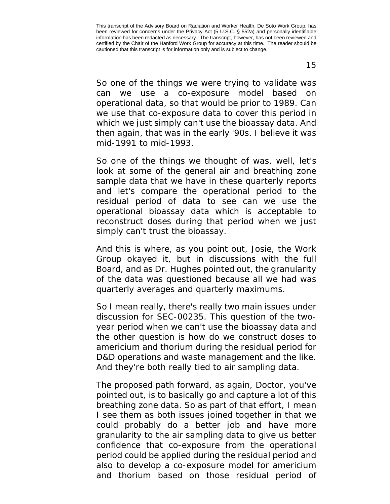15

So one of the things we were trying to validate was can we use a co-exposure model based on operational data, so that would be prior to 1989. Can we use that co-exposure data to cover this period in which we just simply can't use the bioassay data. And then again, that was in the early '90s. I believe it was mid-1991 to mid-1993.

So one of the things we thought of was, well, let's look at some of the general air and breathing zone sample data that we have in these quarterly reports and let's compare the operational period to the residual period of data to see can we use the operational bioassay data which is acceptable to reconstruct doses during that period when we just simply can't trust the bioassay.

And this is where, as you point out, Josie, the Work Group okayed it, but in discussions with the full Board, and as Dr. Hughes pointed out, the granularity of the data was questioned because all we had was quarterly averages and quarterly maximums.

So I mean really, there's really two main issues under discussion for SEC-00235. This question of the twoyear period when we can't use the bioassay data and the other question is how do we construct doses to americium and thorium during the residual period for D&D operations and waste management and the like. And they're both really tied to air sampling data.

The proposed path forward, as again, Doctor, you've pointed out, is to basically go and capture a lot of this breathing zone data. So as part of that effort, I mean I see them as both issues joined together in that we could probably do a better job and have more granularity to the air sampling data to give us better confidence that co-exposure from the operational period could be applied during the residual period and also to develop a co-exposure model for americium and thorium based on those residual period of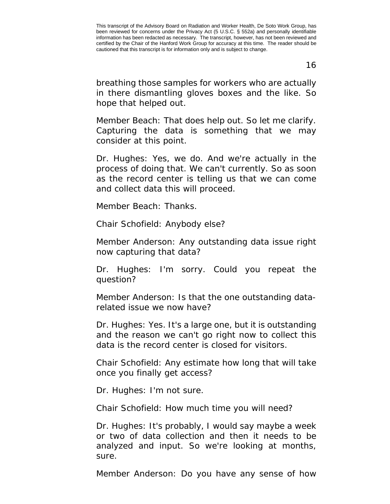16

breathing those samples for workers who are actually in there dismantling gloves boxes and the like. So hope that helped out.

Member Beach: That does help out. So let me clarify. Capturing the data is something that we may consider at this point.

Dr. Hughes: Yes, we do. And we're actually in the process of doing that. We can't currently. So as soon as the record center is telling us that we can come and collect data this will proceed.

Member Beach: Thanks.

Chair Schofield: Anybody else?

Member Anderson: Any outstanding data issue right now capturing that data?

Dr. Hughes: I'm sorry. Could you repeat the question?

Member Anderson: Is that the one outstanding datarelated issue we now have?

Dr. Hughes: Yes. It's a large one, but it is outstanding and the reason we can't go right now to collect this data is the record center is closed for visitors.

Chair Schofield: Any estimate how long that will take once you finally get access?

Dr. Hughes: I'm not sure.

Chair Schofield: How much time you will need?

Dr. Hughes: It's probably, I would say maybe a week or two of data collection and then it needs to be analyzed and input. So we're looking at months, sure.

Member Anderson: Do you have any sense of how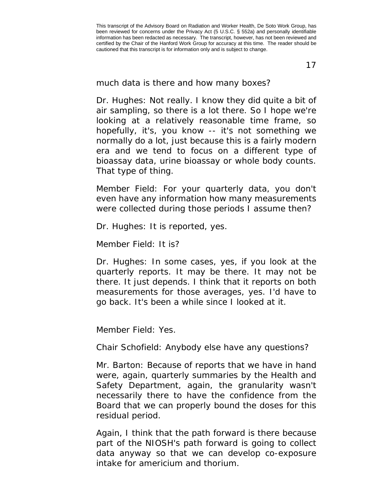17

much data is there and how many boxes?

Dr. Hughes: Not really. I know they did quite a bit of air sampling, so there is a lot there. So I hope we're looking at a relatively reasonable time frame, so hopefully, it's, you know -- it's not something we normally do a lot, just because this is a fairly modern era and we tend to focus on a different type of bioassay data, urine bioassay or whole body counts. That type of thing.

Member Field: For your quarterly data, you don't even have any information how many measurements were collected during those periods I assume then?

Dr. Hughes: It is reported, yes.

Member Field: It is?

Dr. Hughes: In some cases, yes, if you look at the quarterly reports. It may be there. It may not be there. It just depends. I think that it reports on both measurements for those averages, yes. I'd have to go back. It's been a while since I looked at it.

Member Field: Yes.

Chair Schofield: Anybody else have any questions?

Mr. Barton: Because of reports that we have in hand were, again, quarterly summaries by the Health and Safety Department, again, the granularity wasn't necessarily there to have the confidence from the Board that we can properly bound the doses for this residual period.

Again, I think that the path forward is there because part of the NIOSH's path forward is going to collect data anyway so that we can develop co-exposure intake for americium and thorium.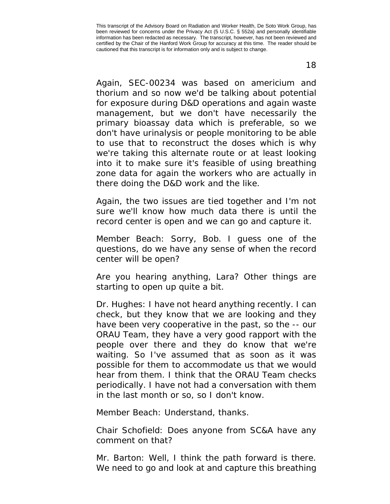Again, SEC-00234 was based on americium and thorium and so now we'd be talking about potential for exposure during D&D operations and again waste management, but we don't have necessarily the primary bioassay data which is preferable, so we don't have urinalysis or people monitoring to be able to use that to reconstruct the doses which is why we're taking this alternate route or at least looking into it to make sure it's feasible of using breathing zone data for again the workers who are actually in there doing the D&D work and the like.

Again, the two issues are tied together and I'm not sure we'll know how much data there is until the record center is open and we can go and capture it.

Member Beach: Sorry, Bob. I guess one of the questions, do we have any sense of when the record center will be open?

Are you hearing anything, Lara? Other things are starting to open up quite a bit.

Dr. Hughes: I have not heard anything recently. I can check, but they know that we are looking and they have been very cooperative in the past, so the -- our ORAU Team, they have a very good rapport with the people over there and they do know that we're waiting. So I've assumed that as soon as it was possible for them to accommodate us that we would hear from them. I think that the ORAU Team checks periodically. I have not had a conversation with them in the last month or so, so I don't know.

Member Beach: Understand, thanks.

Chair Schofield: Does anyone from SC&A have any comment on that?

Mr. Barton: Well, I think the path forward is there. We need to go and look at and capture this breathing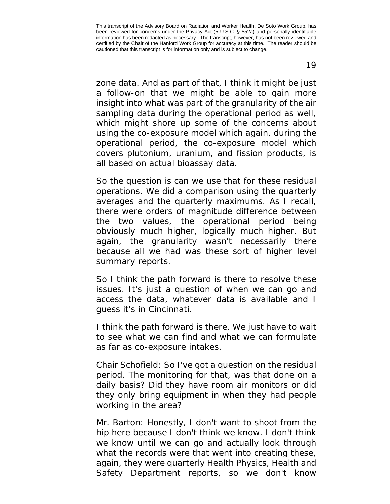zone data. And as part of that, I think it might be just a follow-on that we might be able to gain more insight into what was part of the granularity of the air sampling data during the operational period as well, which might shore up some of the concerns about using the co-exposure model which again, during the operational period, the co-exposure model which covers plutonium, uranium, and fission products, is all based on actual bioassay data.

So the question is can we use that for these residual operations. We did a comparison using the quarterly averages and the quarterly maximums. As I recall, there were orders of magnitude difference between the two values, the operational period being obviously much higher, logically much higher. But again, the granularity wasn't necessarily there because all we had was these sort of higher level summary reports.

So I think the path forward is there to resolve these issues. It's just a question of when we can go and access the data, whatever data is available and I guess it's in Cincinnati.

I think the path forward is there. We just have to wait to see what we can find and what we can formulate as far as co-exposure intakes.

Chair Schofield: So I've got a question on the residual period. The monitoring for that, was that done on a daily basis? Did they have room air monitors or did they only bring equipment in when they had people working in the area?

Mr. Barton: Honestly, I don't want to shoot from the hip here because I don't think we know. I don't think we know until we can go and actually look through what the records were that went into creating these, again, they were quarterly Health Physics, Health and Safety Department reports, so we don't know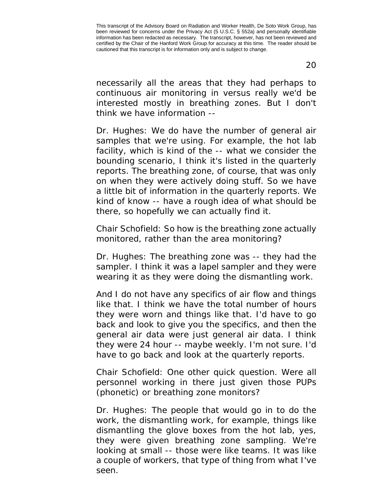necessarily all the areas that they had perhaps to continuous air monitoring in versus really we'd be interested mostly in breathing zones. But I don't think we have information --

Dr. Hughes: We do have the number of general air samples that we're using. For example, the hot lab facility, which is kind of the -- what we consider the bounding scenario, I think it's listed in the quarterly reports. The breathing zone, of course, that was only on when they were actively doing stuff. So we have a little bit of information in the quarterly reports. We kind of know -- have a rough idea of what should be there, so hopefully we can actually find it.

Chair Schofield: So how is the breathing zone actually monitored, rather than the area monitoring?

Dr. Hughes: The breathing zone was -- they had the sampler. I think it was a lapel sampler and they were wearing it as they were doing the dismantling work.

And I do not have any specifics of air flow and things like that. I think we have the total number of hours they were worn and things like that. I'd have to go back and look to give you the specifics, and then the general air data were just general air data. I think they were 24 hour -- maybe weekly. I'm not sure. I'd have to go back and look at the quarterly reports.

Chair Schofield: One other quick question. Were all personnel working in there just given those PUPs (phonetic) or breathing zone monitors?

Dr. Hughes: The people that would go in to do the work, the dismantling work, for example, things like dismantling the glove boxes from the hot lab, yes, they were given breathing zone sampling. We're looking at small -- those were like teams. It was like a couple of workers, that type of thing from what I've seen.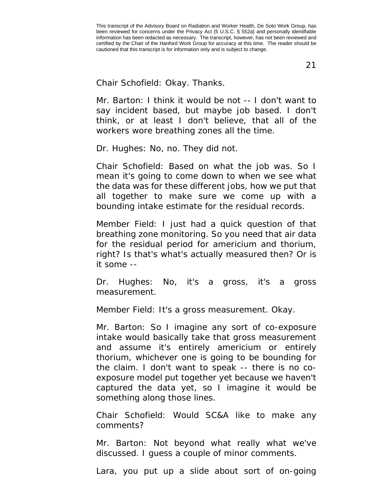21

Chair Schofield: Okay. Thanks.

Mr. Barton: I think it would be not -- I don't want to say incident based, but maybe job based. I don't think, or at least I don't believe, that all of the workers wore breathing zones all the time.

Dr. Hughes: No, no. They did not.

Chair Schofield: Based on what the job was. So I mean it's going to come down to when we see what the data was for these different jobs, how we put that all together to make sure we come up with a bounding intake estimate for the residual records.

Member Field: I just had a quick question of that breathing zone monitoring. So you need that air data for the residual period for americium and thorium, right? Is that's what's actually measured then? Or is it some --

Dr. Hughes: No, it's a gross, it's a gross measurement.

Member Field: It's a gross measurement. Okay.

Mr. Barton: So I imagine any sort of co-exposure intake would basically take that gross measurement and assume it's entirely americium or entirely thorium, whichever one is going to be bounding for the claim. I don't want to speak -- there is no coexposure model put together yet because we haven't captured the data yet, so I imagine it would be something along those lines.

Chair Schofield: Would SC&A like to make any comments?

Mr. Barton: Not beyond what really what we've discussed. I guess a couple of minor comments.

Lara, you put up a slide about sort of on-going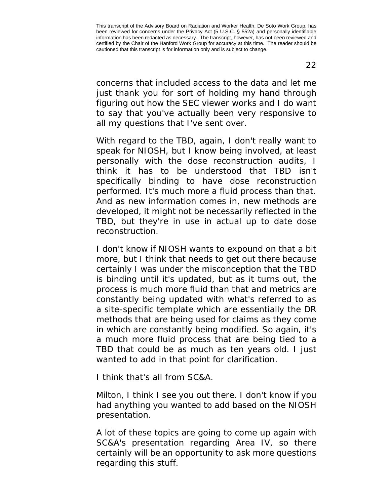concerns that included access to the data and let me just thank you for sort of holding my hand through figuring out how the SEC viewer works and I do want to say that you've actually been very responsive to all my questions that I've sent over.

With regard to the TBD, again, I don't really want to speak for NIOSH, but I know being involved, at least personally with the dose reconstruction audits, I think it has to be understood that TBD isn't specifically binding to have dose reconstruction performed. It's much more a fluid process than that. And as new information comes in, new methods are developed, it might not be necessarily reflected in the TBD, but they're in use in actual up to date dose reconstruction.

I don't know if NIOSH wants to expound on that a bit more, but I think that needs to get out there because certainly I was under the misconception that the TBD is binding until it's updated, but as it turns out, the process is much more fluid than that and metrics are constantly being updated with what's referred to as a site-specific template which are essentially the DR methods that are being used for claims as they come in which are constantly being modified. So again, it's a much more fluid process that are being tied to a TBD that could be as much as ten years old. I just wanted to add in that point for clarification.

I think that's all from SC&A.

Milton, I think I see you out there. I don't know if you had anything you wanted to add based on the NIOSH presentation.

A lot of these topics are going to come up again with SC&A's presentation regarding Area IV, so there certainly will be an opportunity to ask more questions regarding this stuff.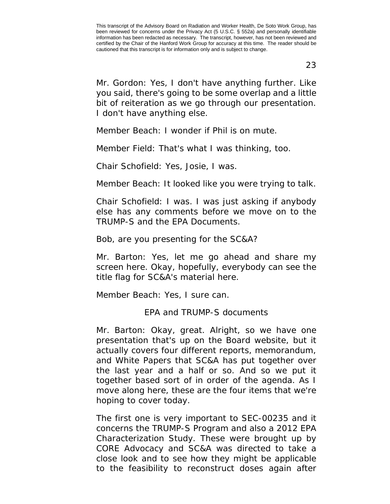23

Mr. Gordon: Yes, I don't have anything further. Like you said, there's going to be some overlap and a little bit of reiteration as we go through our presentation. I don't have anything else.

Member Beach: I wonder if Phil is on mute.

Member Field: That's what I was thinking, too.

Chair Schofield: Yes, Josie, I was.

Member Beach: It looked like you were trying to talk.

Chair Schofield: I was. I was just asking if anybody else has any comments before we move on to the TRUMP-S and the EPA Documents.

Bob, are you presenting for the SC&A?

Mr. Barton: Yes, let me go ahead and share my screen here. Okay, hopefully, everybody can see the title flag for SC&A's material here.

<span id="page-22-0"></span>Member Beach: Yes, I sure can.

EPA and TRUMP-S documents

Mr. Barton: Okay, great. Alright, so we have one presentation that's up on the Board website, but it actually covers four different reports, memorandum, and White Papers that SC&A has put together over the last year and a half or so. And so we put it together based sort of in order of the agenda. As I move along here, these are the four items that we're hoping to cover today.

The first one is very important to SEC-00235 and it concerns the TRUMP-S Program and also a 2012 EPA Characterization Study. These were brought up by CORE Advocacy and SC&A was directed to take a close look and to see how they might be applicable to the feasibility to reconstruct doses again after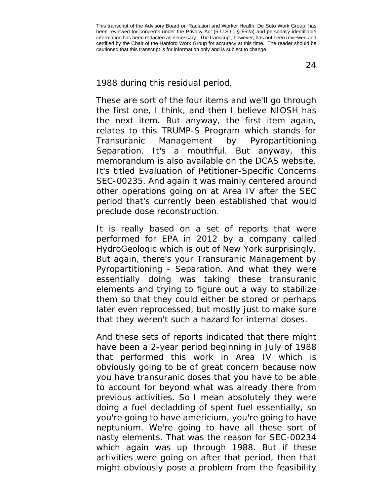1988 during this residual period.

These are sort of the four items and we'll go through the first one, I think, and then I believe NIOSH has the next item. But anyway, the first item again, relates to this TRUMP-S Program which stands for Transuranic Management by Pyropartitioning Separation. It's a mouthful. But anyway, this memorandum is also available on the DCAS website. It's titled Evaluation of Petitioner-Specific Concerns SEC-00235. And again it was mainly centered around other operations going on at Area IV after the SEC period that's currently been established that would preclude dose reconstruction.

It is really based on a set of reports that were performed for EPA in 2012 by a company called HydroGeologic which is out of New York surprisingly. But again, there's your Transuranic Management by Pyropartitioning - Separation. And what they were essentially doing was taking these transuranic elements and trying to figure out a way to stabilize them so that they could either be stored or perhaps later even reprocessed, but mostly just to make sure that they weren't such a hazard for internal doses.

And these sets of reports indicated that there might have been a 2-year period beginning in July of 1988 that performed this work in Area IV which is obviously going to be of great concern because now you have transuranic doses that you have to be able to account for beyond what was already there from previous activities. So I mean absolutely they were doing a fuel decladding of spent fuel essentially, so you're going to have americium, you're going to have neptunium. We're going to have all these sort of nasty elements. That was the reason for SEC-00234 which again was up through 1988. But if these activities were going on after that period, then that might obviously pose a problem from the feasibility

24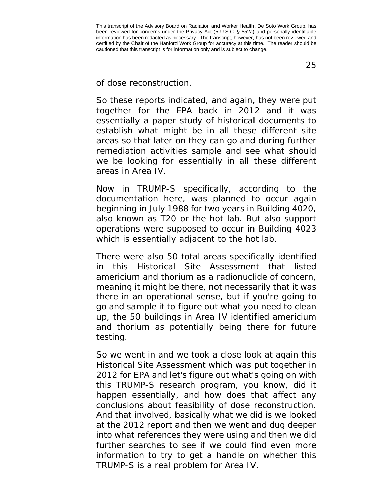of dose reconstruction.

So these reports indicated, and again, they were put together for the EPA back in 2012 and it was essentially a paper study of historical documents to establish what might be in all these different site areas so that later on they can go and during further remediation activities sample and see what should we be looking for essentially in all these different areas in Area IV.

Now in TRUMP-S specifically, according to the documentation here, was planned to occur again beginning in July 1988 for two years in Building 4020, also known as T20 or the hot lab. But also support operations were supposed to occur in Building 4023 which is essentially adjacent to the hot lab.

There were also 50 total areas specifically identified in this Historical Site Assessment that listed americium and thorium as a radionuclide of concern, meaning it might be there, not necessarily that it was there in an operational sense, but if you're going to go and sample it to figure out what you need to clean up, the 50 buildings in Area IV identified americium and thorium as potentially being there for future testing.

So we went in and we took a close look at again this Historical Site Assessment which was put together in 2012 for EPA and let's figure out what's going on with this TRUMP-S research program, you know, did it happen essentially, and how does that affect any conclusions about feasibility of dose reconstruction. And that involved, basically what we did is we looked at the 2012 report and then we went and dug deeper into what references they were using and then we did further searches to see if we could find even more information to try to get a handle on whether this TRUMP-S is a real problem for Area IV.

25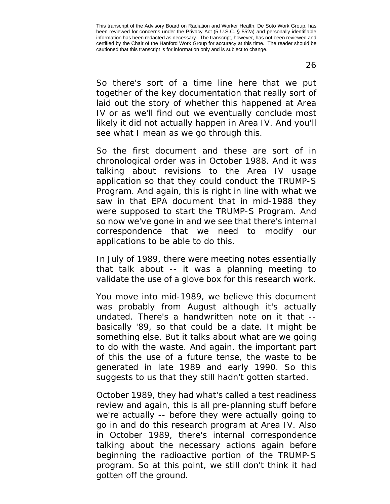26

So there's sort of a time line here that we put together of the key documentation that really sort of laid out the story of whether this happened at Area IV or as we'll find out we eventually conclude most likely it did not actually happen in Area IV. And you'll see what I mean as we go through this.

So the first document and these are sort of in chronological order was in October 1988. And it was talking about revisions to the Area IV usage application so that they could conduct the TRUMP-S Program. And again, this is right in line with what we saw in that EPA document that in mid-1988 they were supposed to start the TRUMP-S Program. And so now we've gone in and we see that there's internal correspondence that we need to modify our applications to be able to do this.

In July of 1989, there were meeting notes essentially that talk about -- it was a planning meeting to validate the use of a glove box for this research work.

You move into mid-1989, we believe this document was probably from August although it's actually undated. There's a handwritten note on it that - basically '89, so that could be a date. It might be something else. But it talks about what are we going to do with the waste. And again, the important part of this the use of a future tense, the waste to be generated in late 1989 and early 1990. So this suggests to us that they still hadn't gotten started.

October 1989, they had what's called a test readiness review and again, this is all pre-planning stuff before we're actually -- before they were actually going to go in and do this research program at Area IV. Also in October 1989, there's internal correspondence talking about the necessary actions again before beginning the radioactive portion of the TRUMP-S program. So at this point, we still don't think it had gotten off the ground.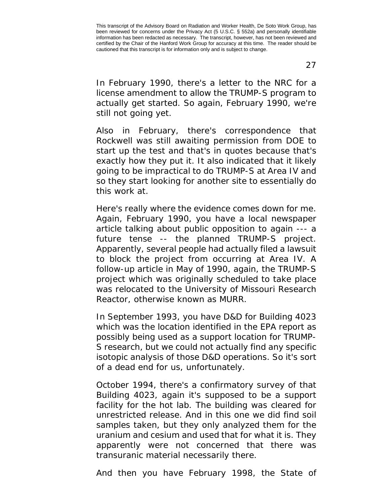27

In February 1990, there's a letter to the NRC for a license amendment to allow the TRUMP-S program to actually get started. So again, February 1990, we're still not going yet.

Also in February, there's correspondence that Rockwell was still awaiting permission from DOE to start up the test and that's in quotes because that's exactly how they put it. It also indicated that it likely going to be impractical to do TRUMP-S at Area IV and so they start looking for another site to essentially do this work at.

Here's really where the evidence comes down for me. Again, February 1990, you have a local newspaper article talking about public opposition to again --- a future tense -- the planned TRUMP-S project. Apparently, several people had actually filed a lawsuit to block the project from occurring at Area IV. A follow-up article in May of 1990, again, the TRUMP-S project which was originally scheduled to take place was relocated to the University of Missouri Research Reactor, otherwise known as MURR.

In September 1993, you have D&D for Building 4023 which was the location identified in the EPA report as possibly being used as a support location for TRUMP-S research, but we could not actually find any specific isotopic analysis of those D&D operations. So it's sort of a dead end for us, unfortunately.

October 1994, there's a confirmatory survey of that Building 4023, again it's supposed to be a support facility for the hot lab. The building was cleared for unrestricted release. And in this one we did find soil samples taken, but they only analyzed them for the uranium and cesium and used that for what it is. They apparently were not concerned that there was transuranic material necessarily there.

And then you have February 1998, the State of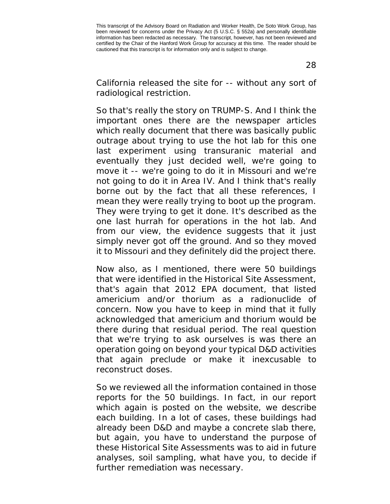California released the site for -- without any sort of radiological restriction.

So that's really the story on TRUMP-S. And I think the important ones there are the newspaper articles which really document that there was basically public outrage about trying to use the hot lab for this one last experiment using transuranic material and eventually they just decided well, we're going to move it -- we're going to do it in Missouri and we're not going to do it in Area IV. And I think that's really borne out by the fact that all these references, I mean they were really trying to boot up the program. They were trying to get it done. It's described as the one last hurrah for operations in the hot lab. And from our view, the evidence suggests that it just simply never got off the ground. And so they moved it to Missouri and they definitely did the project there.

Now also, as I mentioned, there were 50 buildings that were identified in the Historical Site Assessment, that's again that 2012 EPA document, that listed americium and/or thorium as a radionuclide of concern. Now you have to keep in mind that it fully acknowledged that americium and thorium would be there during that residual period. The real question that we're trying to ask ourselves is was there an operation going on beyond your typical D&D activities that again preclude or make it inexcusable to reconstruct doses.

So we reviewed all the information contained in those reports for the 50 buildings. In fact, in our report which again is posted on the website, we describe each building. In a lot of cases, these buildings had already been D&D and maybe a concrete slab there, but again, you have to understand the purpose of these Historical Site Assessments was to aid in future analyses, soil sampling, what have you, to decide if further remediation was necessary.

28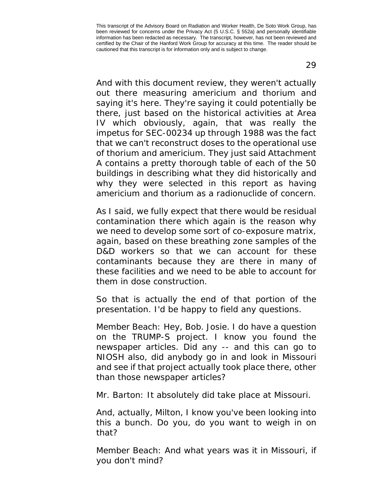And with this document review, they weren't actually out there measuring americium and thorium and saying it's here. They're saying it could potentially be there, just based on the historical activities at Area IV which obviously, again, that was really the impetus for SEC-00234 up through 1988 was the fact that we can't reconstruct doses to the operational use of thorium and americium. They just said Attachment A contains a pretty thorough table of each of the 50 buildings in describing what they did historically and why they were selected in this report as having americium and thorium as a radionuclide of concern.

As I said, we fully expect that there would be residual contamination there which again is the reason why we need to develop some sort of co-exposure matrix, again, based on these breathing zone samples of the D&D workers so that we can account for these contaminants because they are there in many of these facilities and we need to be able to account for them in dose construction.

So that is actually the end of that portion of the presentation. I'd be happy to field any questions.

Member Beach: Hey, Bob. Josie. I do have a question on the TRUMP-S project. I know you found the newspaper articles. Did any -- and this can go to NIOSH also, did anybody go in and look in Missouri and see if that project actually took place there, other than those newspaper articles?

Mr. Barton: It absolutely did take place at Missouri.

And, actually, Milton, I know you've been looking into this a bunch. Do you, do you want to weigh in on that?

Member Beach: And what years was it in Missouri, if you don't mind?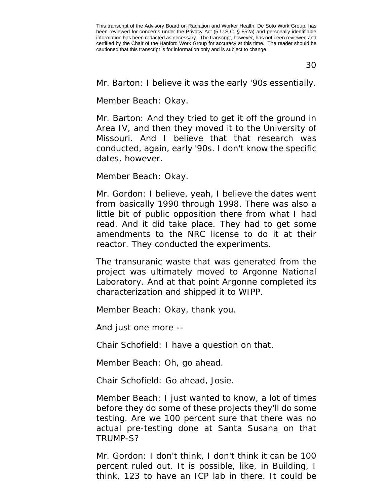30

Mr. Barton: I believe it was the early '90s essentially.

Member Beach: Okay.

Mr. Barton: And they tried to get it off the ground in Area IV, and then they moved it to the University of Missouri. And I believe that that research was conducted, again, early '90s. I don't know the specific dates, however.

Member Beach: Okay.

Mr. Gordon: I believe, yeah, I believe the dates went from basically 1990 through 1998. There was also a little bit of public opposition there from what I had read. And it did take place. They had to get some amendments to the NRC license to do it at their reactor. They conducted the experiments.

The transuranic waste that was generated from the project was ultimately moved to Argonne National Laboratory. And at that point Argonne completed its characterization and shipped it to WIPP.

Member Beach: Okay, thank you.

And just one more --

Chair Schofield: I have a question on that.

Member Beach: Oh, go ahead.

Chair Schofield: Go ahead, Josie.

Member Beach: I just wanted to know, a lot of times before they do some of these projects they'll do some testing. Are we 100 percent sure that there was no actual pre-testing done at Santa Susana on that TRUMP-S?

Mr. Gordon: I don't think, I don't think it can be 100 percent ruled out. It is possible, like, in Building, I think, 123 to have an ICP lab in there. It could be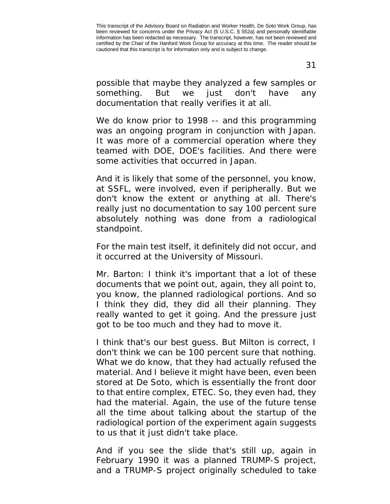possible that maybe they analyzed a few samples or something. But we just don't have any documentation that really verifies it at all.

We do know prior to 1998 -- and this programming was an ongoing program in conjunction with Japan. It was more of a commercial operation where they teamed with DOE, DOE's facilities. And there were some activities that occurred in Japan.

And it is likely that some of the personnel, you know, at SSFL, were involved, even if peripherally. But we don't know the extent or anything at all. There's really just no documentation to say 100 percent sure absolutely nothing was done from a radiological standpoint.

For the main test itself, it definitely did not occur, and it occurred at the University of Missouri.

Mr. Barton: I think it's important that a lot of these documents that we point out, again, they all point to, you know, the planned radiological portions. And so I think they did, they did all their planning. They really wanted to get it going. And the pressure just got to be too much and they had to move it.

I think that's our best guess. But Milton is correct, I don't think we can be 100 percent sure that nothing. What we do know, that they had actually refused the material. And I believe it might have been, even been stored at De Soto, which is essentially the front door to that entire complex, ETEC. So, they even had, they had the material. Again, the use of the future tense all the time about talking about the startup of the radiological portion of the experiment again suggests to us that it just didn't take place.

And if you see the slide that's still up, again in February 1990 it was a planned TRUMP-S project, and a TRUMP-S project originally scheduled to take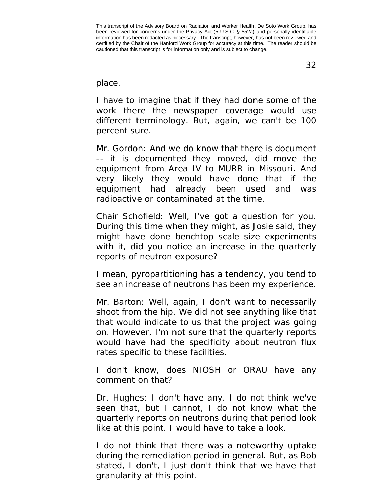32

#### place.

I have to imagine that if they had done some of the work there the newspaper coverage would use different terminology. But, again, we can't be 100 percent sure.

Mr. Gordon: And we do know that there is document -- it is documented they moved, did move the equipment from Area IV to MURR in Missouri. And very likely they would have done that if the equipment had already been used and was radioactive or contaminated at the time.

Chair Schofield: Well, I've got a question for you. During this time when they might, as Josie said, they might have done benchtop scale size experiments with it, did you notice an increase in the quarterly reports of neutron exposure?

I mean, pyropartitioning has a tendency, you tend to see an increase of neutrons has been my experience.

Mr. Barton: Well, again, I don't want to necessarily shoot from the hip. We did not see anything like that that would indicate to us that the project was going on. However, I'm not sure that the quarterly reports would have had the specificity about neutron flux rates specific to these facilities.

I don't know, does NIOSH or ORAU have any comment on that?

Dr. Hughes: I don't have any. I do not think we've seen that, but I cannot, I do not know what the quarterly reports on neutrons during that period look like at this point. I would have to take a look.

I do not think that there was a noteworthy uptake during the remediation period in general. But, as Bob stated, I don't, I just don't think that we have that granularity at this point.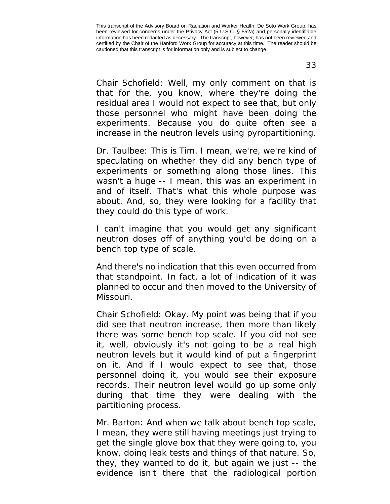Chair Schofield: Well, my only comment on that is that for the, you know, where they're doing the residual area I would not expect to see that, but only those personnel who might have been doing the experiments. Because you do quite often see a increase in the neutron levels using pyropartitioning.

Dr. Taulbee: This is Tim. I mean, we're, we're kind of speculating on whether they did any bench type of experiments or something along those lines. This wasn't a huge -- I mean, this was an experiment in and of itself. That's what this whole purpose was about. And, so, they were looking for a facility that they could do this type of work.

I can't imagine that you would get any significant neutron doses off of anything you'd be doing on a bench top type of scale.

And there's no indication that this even occurred from that standpoint. In fact, a lot of indication of it was planned to occur and then moved to the University of Missouri.

Chair Schofield: Okay. My point was being that if you did see that neutron increase, then more than likely there was some bench top scale. If you did not see it, well, obviously it's not going to be a real high neutron levels but it would kind of put a fingerprint on it. And if I would expect to see that, those personnel doing it, you would see their exposure records. Their neutron level would go up some only during that time they were dealing with the partitioning process.

Mr. Barton: And when we talk about bench top scale, I mean, they were still having meetings just trying to get the single glove box that they were going to, you know, doing leak tests and things of that nature. So, they, they wanted to do it, but again we just -- the evidence isn't there that the radiological portion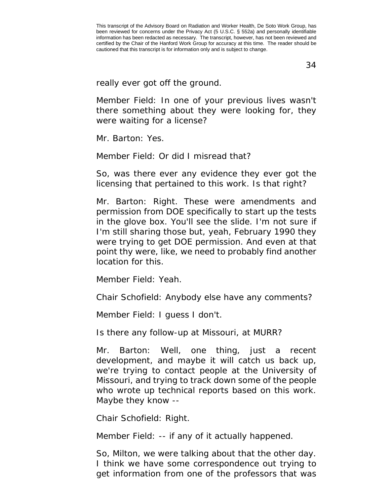34

really ever got off the ground.

Member Field: In one of your previous lives wasn't there something about they were looking for, they were waiting for a license?

Mr. Barton: Yes.

Member Field: Or did I misread that?

So, was there ever any evidence they ever got the licensing that pertained to this work. Is that right?

Mr. Barton: Right. These were amendments and permission from DOE specifically to start up the tests in the glove box. You'll see the slide. I'm not sure if I'm still sharing those but, yeah, February 1990 they were trying to get DOE permission. And even at that point thy were, like, we need to probably find another location for this.

Member Field: Yeah.

Chair Schofield: Anybody else have any comments?

Member Field: I guess I don't.

Is there any follow-up at Missouri, at MURR?

Mr. Barton: Well, one thing, just a recent development, and maybe it will catch us back up, we're trying to contact people at the University of Missouri, and trying to track down some of the people who wrote up technical reports based on this work. Maybe they know --

Chair Schofield: Right.

Member Field: -- if any of it actually happened.

So, Milton, we were talking about that the other day. I think we have some correspondence out trying to get information from one of the professors that was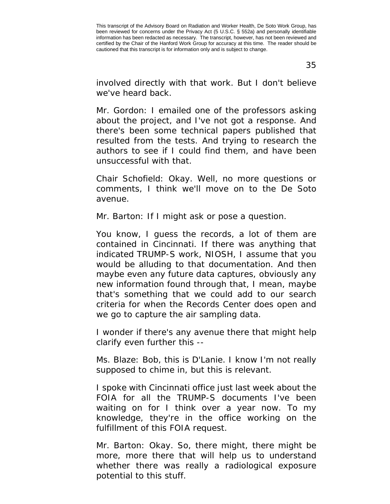35

involved directly with that work. But I don't believe we've heard back.

Mr. Gordon: I emailed one of the professors asking about the project, and I've not got a response. And there's been some technical papers published that resulted from the tests. And trying to research the authors to see if I could find them, and have been unsuccessful with that.

Chair Schofield: Okay. Well, no more questions or comments, I think we'll move on to the De Soto avenue.

Mr. Barton: If I might ask or pose a question.

You know, I guess the records, a lot of them are contained in Cincinnati. If there was anything that indicated TRUMP-S work, NIOSH, I assume that you would be alluding to that documentation. And then maybe even any future data captures, obviously any new information found through that, I mean, maybe that's something that we could add to our search criteria for when the Records Center does open and we go to capture the air sampling data.

I wonder if there's any avenue there that might help clarify even further this --

Ms. Blaze: Bob, this is D'Lanie. I know I'm not really supposed to chime in, but this is relevant.

I spoke with Cincinnati office just last week about the FOIA for all the TRUMP-S documents I've been waiting on for I think over a year now. To my knowledge, they're in the office working on the fulfillment of this FOIA request.

Mr. Barton: Okay. So, there might, there might be more, more there that will help us to understand whether there was really a radiological exposure potential to this stuff.

This transcript of the Advisory Board on Radiation and Worker Health, De Soto Work Group, has been reviewed for concerns under the Privacy Act (5 U.S.C. § 552a) and personally identifiable information has been redacted as necessary. The transcript, however, has not been reviewed and certified by the Chair of the Hanford Work Group for accuracy at this time. The reader should be cautioned that this transcript is for information only and is subject to change.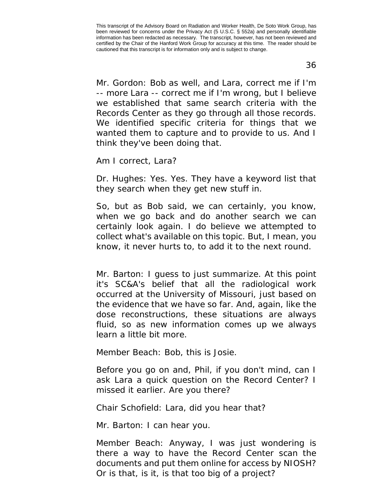36

Mr. Gordon: Bob as well, and Lara, correct me if I'm -- more Lara -- correct me if I'm wrong, but I believe we established that same search criteria with the Records Center as they go through all those records. We identified specific criteria for things that we wanted them to capture and to provide to us. And I think they've been doing that.

Am I correct, Lara?

Dr. Hughes: Yes. Yes. They have a keyword list that they search when they get new stuff in.

So, but as Bob said, we can certainly, you know, when we go back and do another search we can certainly look again. I do believe we attempted to collect what's available on this topic. But, I mean, you know, it never hurts to, to add it to the next round.

Mr. Barton: I guess to just summarize. At this point it's SC&A's belief that all the radiological work occurred at the University of Missouri, just based on the evidence that we have so far. And, again, like the dose reconstructions, these situations are always fluid, so as new information comes up we always learn a little bit more.

Member Beach: Bob, this is Josie.

Before you go on and, Phil, if you don't mind, can I ask Lara a quick question on the Record Center? I missed it earlier. Are you there?

Chair Schofield: Lara, did you hear that?

Mr. Barton: I can hear you.

Member Beach: Anyway, I was just wondering is there a way to have the Record Center scan the documents and put them online for access by NIOSH? Or is that, is it, is that too big of a project?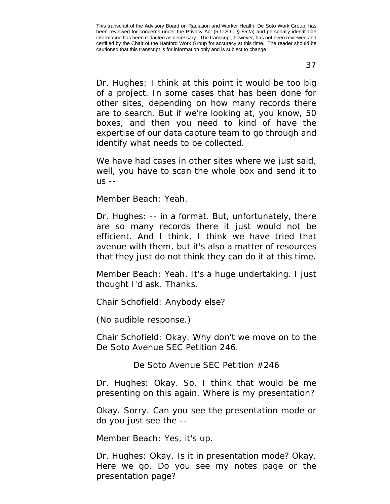37

Dr. Hughes: I think at this point it would be too big of a project. In some cases that has been done for other sites, depending on how many records there are to search. But if we're looking at, you know, 50 boxes, and then you need to kind of have the expertise of our data capture team to go through and identify what needs to be collected.

We have had cases in other sites where we just said, well, you have to scan the whole box and send it to us --

Member Beach: Yeah.

Dr. Hughes: -- in a format. But, unfortunately, there are so many records there it just would not be efficient. And I think, I think we have tried that avenue with them, but it's also a matter of resources that they just do not think they can do it at this time.

Member Beach: Yeah. It's a huge undertaking. I just thought I'd ask. Thanks.

Chair Schofield: Anybody else?

(No audible response.)

Chair Schofield: Okay. Why don't we move on to the De Soto Avenue SEC Petition 246.

De Soto Avenue SEC Petition #246

Dr. Hughes: Okay. So, I think that would be me presenting on this again. Where is my presentation?

Okay. Sorry. Can you see the presentation mode or do you just see the --

Member Beach: Yes, it's up.

Dr. Hughes: Okay. Is it in presentation mode? Okay. Here we go. Do you see my notes page or the presentation page?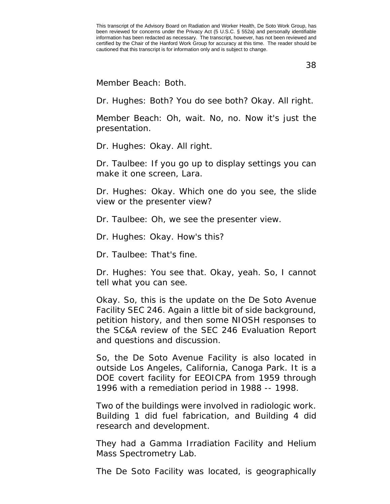38

Member Beach: Both.

Dr. Hughes: Both? You do see both? Okay. All right.

Member Beach: Oh, wait. No, no. Now it's just the presentation.

Dr. Hughes: Okay. All right.

Dr. Taulbee: If you go up to display settings you can make it one screen, Lara.

Dr. Hughes: Okay. Which one do you see, the slide view or the presenter view?

Dr. Taulbee: Oh, we see the presenter view.

Dr. Hughes: Okay. How's this?

Dr. Taulbee: That's fine.

Dr. Hughes: You see that. Okay, yeah. So, I cannot tell what you can see.

Okay. So, this is the update on the De Soto Avenue Facility SEC 246. Again a little bit of side background, petition history, and then some NIOSH responses to the SC&A review of the SEC 246 Evaluation Report and questions and discussion.

So, the De Soto Avenue Facility is also located in outside Los Angeles, California, Canoga Park. It is a DOE covert facility for EEOICPA from 1959 through 1996 with a remediation period in 1988 -- 1998.

Two of the buildings were involved in radiologic work. Building 1 did fuel fabrication, and Building 4 did research and development.

They had a Gamma Irradiation Facility and Helium Mass Spectrometry Lab.

The De Soto Facility was located, is geographically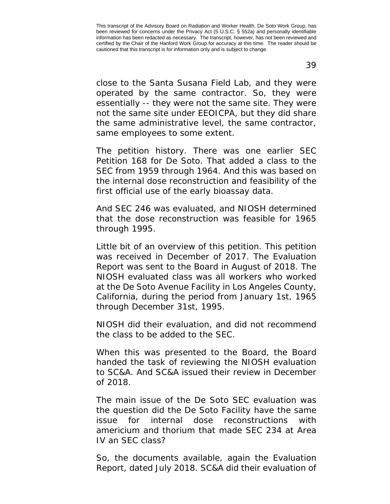close to the Santa Susana Field Lab, and they were operated by the same contractor. So, they were essentially -- they were not the same site. They were not the same site under EEOICPA, but they did share the same administrative level, the same contractor, same employees to some extent.

The petition history. There was one earlier SEC Petition 168 for De Soto. That added a class to the SEC from 1959 through 1964. And this was based on the internal dose reconstruction and feasibility of the first official use of the early bioassay data.

And SEC 246 was evaluated, and NIOSH determined that the dose reconstruction was feasible for 1965 through 1995.

Little bit of an overview of this petition. This petition was received in December of 2017. The Evaluation Report was sent to the Board in August of 2018. The NIOSH evaluated class was all workers who worked at the De Soto Avenue Facility in Los Angeles County, California, during the period from January 1st, 1965 through December 31st, 1995.

NIOSH did their evaluation, and did not recommend the class to be added to the SEC.

When this was presented to the Board, the Board handed the task of reviewing the NIOSH evaluation to SC&A. And SC&A issued their review in December of 2018.

The main issue of the De Soto SEC evaluation was the question did the De Soto Facility have the same issue for internal dose reconstructions with americium and thorium that made SEC 234 at Area IV an SEC class?

So, the documents available, again the Evaluation Report, dated July 2018. SC&A did their evaluation of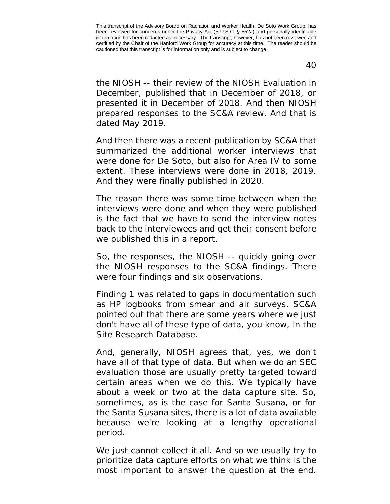the NIOSH -- their review of the NIOSH Evaluation in December, published that in December of 2018, or presented it in December of 2018. And then NIOSH prepared responses to the SC&A review. And that is dated May 2019.

And then there was a recent publication by SC&A that summarized the additional worker interviews that were done for De Soto, but also for Area IV to some extent. These interviews were done in 2018, 2019. And they were finally published in 2020.

The reason there was some time between when the interviews were done and when they were published is the fact that we have to send the interview notes back to the interviewees and get their consent before we published this in a report.

So, the responses, the NIOSH -- quickly going over the NIOSH responses to the SC&A findings. There were four findings and six observations.

Finding 1 was related to gaps in documentation such as HP logbooks from smear and air surveys. SC&A pointed out that there are some years where we just don't have all of these type of data, you know, in the Site Research Database.

And, generally, NIOSH agrees that, yes, we don't have all of that type of data. But when we do an SEC evaluation those are usually pretty targeted toward certain areas when we do this. We typically have about a week or two at the data capture site. So, sometimes, as is the case for Santa Susana, or for the Santa Susana sites, there is a lot of data available because we're looking at a lengthy operational period.

We just cannot collect it all. And so we usually try to prioritize data capture efforts on what we think is the most important to answer the question at the end.

40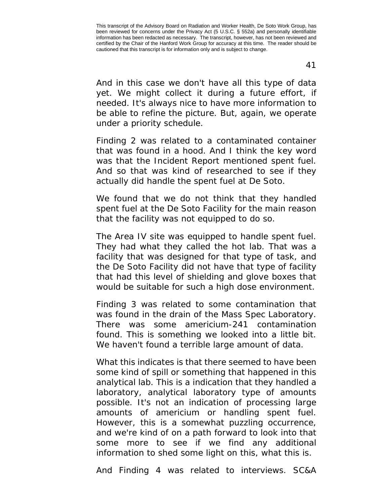41

And in this case we don't have all this type of data yet. We might collect it during a future effort, if needed. It's always nice to have more information to be able to refine the picture. But, again, we operate under a priority schedule.

Finding 2 was related to a contaminated container that was found in a hood. And I think the key word was that the Incident Report mentioned spent fuel. And so that was kind of researched to see if they actually did handle the spent fuel at De Soto.

We found that we do not think that they handled spent fuel at the De Soto Facility for the main reason that the facility was not equipped to do so.

The Area IV site was equipped to handle spent fuel. They had what they called the hot lab. That was a facility that was designed for that type of task, and the De Soto Facility did not have that type of facility that had this level of shielding and glove boxes that would be suitable for such a high dose environment.

Finding 3 was related to some contamination that was found in the drain of the Mass Spec Laboratory. There was some americium-241 contamination found. This is something we looked into a little bit. We haven't found a terrible large amount of data.

What this indicates is that there seemed to have been some kind of spill or something that happened in this analytical lab. This is a indication that they handled a laboratory, analytical laboratory type of amounts possible. It's not an indication of processing large amounts of americium or handling spent fuel. However, this is a somewhat puzzling occurrence, and we're kind of on a path forward to look into that some more to see if we find any additional information to shed some light on this, what this is.

And Finding 4 was related to interviews. SC&A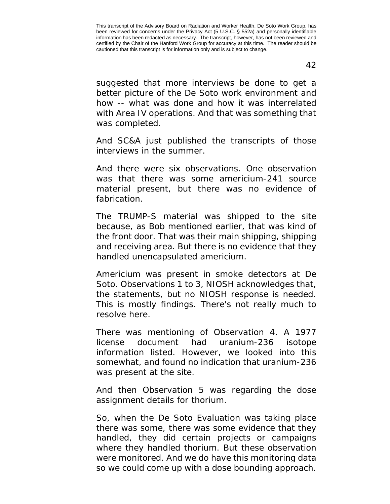42

suggested that more interviews be done to get a better picture of the De Soto work environment and how -- what was done and how it was interrelated with Area IV operations. And that was something that was completed.

And SC&A just published the transcripts of those interviews in the summer.

And there were six observations. One observation was that there was some americium-241 source material present, but there was no evidence of fabrication.

The TRUMP-S material was shipped to the site because, as Bob mentioned earlier, that was kind of the front door. That was their main shipping, shipping and receiving area. But there is no evidence that they handled unencapsulated americium.

Americium was present in smoke detectors at De Soto. Observations 1 to 3, NIOSH acknowledges that, the statements, but no NIOSH response is needed. This is mostly findings. There's not really much to resolve here.

There was mentioning of Observation 4. A 1977 license document had uranium-236 isotope information listed. However, we looked into this somewhat, and found no indication that uranium-236 was present at the site.

And then Observation 5 was regarding the dose assignment details for thorium.

So, when the De Soto Evaluation was taking place there was some, there was some evidence that they handled, they did certain projects or campaigns where they handled thorium. But these observation were monitored. And we do have this monitoring data so we could come up with a dose bounding approach.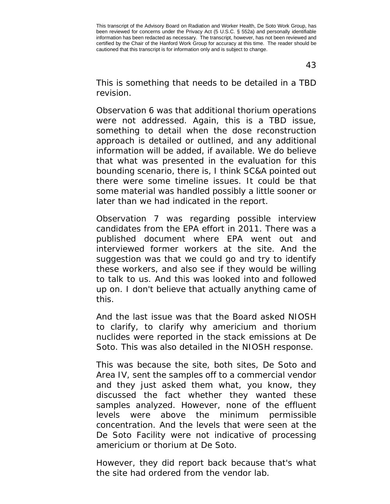43

This is something that needs to be detailed in a TBD revision.

Observation 6 was that additional thorium operations were not addressed. Again, this is a TBD issue, something to detail when the dose reconstruction approach is detailed or outlined, and any additional information will be added, if available. We do believe that what was presented in the evaluation for this bounding scenario, there is, I think SC&A pointed out there were some timeline issues. It could be that some material was handled possibly a little sooner or later than we had indicated in the report.

Observation 7 was regarding possible interview candidates from the EPA effort in 2011. There was a published document where EPA went out and interviewed former workers at the site. And the suggestion was that we could go and try to identify these workers, and also see if they would be willing to talk to us. And this was looked into and followed up on. I don't believe that actually anything came of this.

And the last issue was that the Board asked NIOSH to clarify, to clarify why americium and thorium nuclides were reported in the stack emissions at De Soto. This was also detailed in the NIOSH response.

This was because the site, both sites, De Soto and Area IV, sent the samples off to a commercial vendor and they just asked them what, you know, they discussed the fact whether they wanted these samples analyzed. However, none of the effluent levels were above the minimum permissible concentration. And the levels that were seen at the De Soto Facility were not indicative of processing americium or thorium at De Soto.

However, they did report back because that's what the site had ordered from the vendor lab.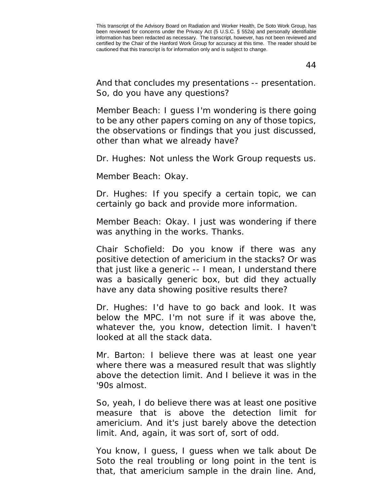44

And that concludes my presentations -- presentation. So, do you have any questions?

Member Beach: I guess I'm wondering is there going to be any other papers coming on any of those topics, the observations or findings that you just discussed, other than what we already have?

Dr. Hughes: Not unless the Work Group requests us.

Member Beach: Okay.

Dr. Hughes: If you specify a certain topic, we can certainly go back and provide more information.

Member Beach: Okay. I just was wondering if there was anything in the works. Thanks.

Chair Schofield: Do you know if there was any positive detection of americium in the stacks? Or was that just like a generic -- I mean, I understand there was a basically generic box, but did they actually have any data showing positive results there?

Dr. Hughes: I'd have to go back and look. It was below the MPC. I'm not sure if it was above the, whatever the, you know, detection limit. I haven't looked at all the stack data.

Mr. Barton: I believe there was at least one year where there was a measured result that was slightly above the detection limit. And I believe it was in the '90s almost.

So, yeah, I do believe there was at least one positive measure that is above the detection limit for americium. And it's just barely above the detection limit. And, again, it was sort of, sort of odd.

You know, I guess, I guess when we talk about De Soto the real troubling or long point in the tent is that, that americium sample in the drain line. And,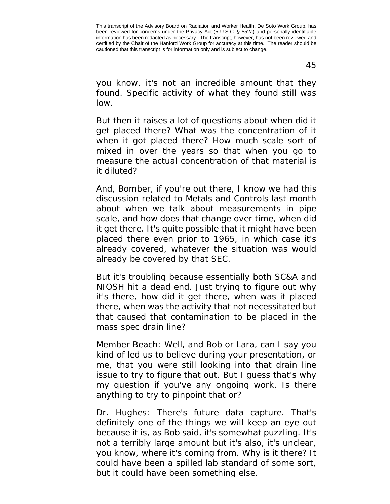45

you know, it's not an incredible amount that they found. Specific activity of what they found still was low.

But then it raises a lot of questions about when did it get placed there? What was the concentration of it when it got placed there? How much scale sort of mixed in over the years so that when you go to measure the actual concentration of that material is it diluted?

And, Bomber, if you're out there, I know we had this discussion related to Metals and Controls last month about when we talk about measurements in pipe scale, and how does that change over time, when did it get there. It's quite possible that it might have been placed there even prior to 1965, in which case it's already covered, whatever the situation was would already be covered by that SEC.

But it's troubling because essentially both SC&A and NIOSH hit a dead end. Just trying to figure out why it's there, how did it get there, when was it placed there, when was the activity that not necessitated but that caused that contamination to be placed in the mass spec drain line?

Member Beach: Well, and Bob or Lara, can I say you kind of led us to believe during your presentation, or me, that you were still looking into that drain line issue to try to figure that out. But I guess that's why my question if you've any ongoing work. Is there anything to try to pinpoint that or?

Dr. Hughes: There's future data capture. That's definitely one of the things we will keep an eye out because it is, as Bob said, it's somewhat puzzling. It's not a terribly large amount but it's also, it's unclear, you know, where it's coming from. Why is it there? It could have been a spilled lab standard of some sort, but it could have been something else.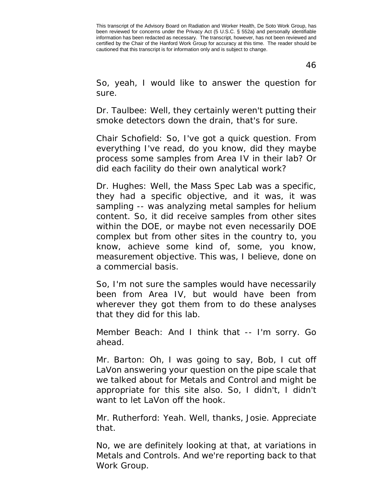46

So, yeah, I would like to answer the question for sure.

Dr. Taulbee: Well, they certainly weren't putting their smoke detectors down the drain, that's for sure.

Chair Schofield: So, I've got a quick question. From everything I've read, do you know, did they maybe process some samples from Area IV in their lab? Or did each facility do their own analytical work?

Dr. Hughes: Well, the Mass Spec Lab was a specific, they had a specific objective, and it was, it was sampling -- was analyzing metal samples for helium content. So, it did receive samples from other sites within the DOE, or maybe not even necessarily DOE complex but from other sites in the country to, you know, achieve some kind of, some, you know, measurement objective. This was, I believe, done on a commercial basis.

So, I'm not sure the samples would have necessarily been from Area IV, but would have been from wherever they got them from to do these analyses that they did for this lab.

Member Beach: And I think that -- I'm sorry. Go ahead.

Mr. Barton: Oh, I was going to say, Bob, I cut off LaVon answering your question on the pipe scale that we talked about for Metals and Control and might be appropriate for this site also. So, I didn't, I didn't want to let LaVon off the hook.

Mr. Rutherford: Yeah. Well, thanks, Josie. Appreciate that.

No, we are definitely looking at that, at variations in Metals and Controls. And we're reporting back to that Work Group.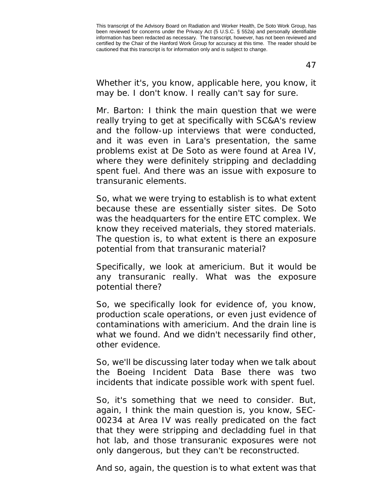47

Whether it's, you know, applicable here, you know, it may be. I don't know. I really can't say for sure.

Mr. Barton: I think the main question that we were really trying to get at specifically with SC&A's review and the follow-up interviews that were conducted, and it was even in Lara's presentation, the same problems exist at De Soto as were found at Area IV, where they were definitely stripping and decladding spent fuel. And there was an issue with exposure to transuranic elements.

So, what we were trying to establish is to what extent because these are essentially sister sites. De Soto was the headquarters for the entire ETC complex. We know they received materials, they stored materials. The question is, to what extent is there an exposure potential from that transuranic material?

Specifically, we look at americium. But it would be any transuranic really. What was the exposure potential there?

So, we specifically look for evidence of, you know, production scale operations, or even just evidence of contaminations with americium. And the drain line is what we found. And we didn't necessarily find other, other evidence.

So, we'll be discussing later today when we talk about the Boeing Incident Data Base there was two incidents that indicate possible work with spent fuel.

So, it's something that we need to consider. But, again, I think the main question is, you know, SEC-00234 at Area IV was really predicated on the fact that they were stripping and decladding fuel in that hot lab, and those transuranic exposures were not only dangerous, but they can't be reconstructed.

And so, again, the question is to what extent was that

This transcript of the Advisory Board on Radiation and Worker Health, De Soto Work Group, has been reviewed for concerns under the Privacy Act (5 U.S.C. § 552a) and personally identifiable information has been redacted as necessary. The transcript, however, has not been reviewed and certified by the Chair of the Hanford Work Group for accuracy at this time. The reader should be cautioned that this transcript is for information only and is subject to change.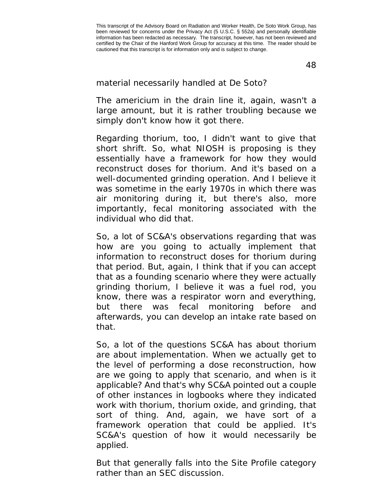48

material necessarily handled at De Soto?

The americium in the drain line it, again, wasn't a large amount, but it is rather troubling because we simply don't know how it got there.

Regarding thorium, too, I didn't want to give that short shrift. So, what NIOSH is proposing is they essentially have a framework for how they would reconstruct doses for thorium. And it's based on a well-documented grinding operation. And I believe it was sometime in the early 1970s in which there was air monitoring during it, but there's also, more importantly, fecal monitoring associated with the individual who did that.

So, a lot of SC&A's observations regarding that was how are you going to actually implement that information to reconstruct doses for thorium during that period. But, again, I think that if you can accept that as a founding scenario where they were actually grinding thorium, I believe it was a fuel rod, you know, there was a respirator worn and everything, but there was fecal monitoring before and afterwards, you can develop an intake rate based on that.

So, a lot of the questions SC&A has about thorium are about implementation. When we actually get to the level of performing a dose reconstruction, how are we going to apply that scenario, and when is it applicable? And that's why SC&A pointed out a couple of other instances in logbooks where they indicated work with thorium, thorium oxide, and grinding, that sort of thing. And, again, we have sort of a framework operation that could be applied. It's SC&A's question of how it would necessarily be applied.

But that generally falls into the Site Profile category rather than an SEC discussion.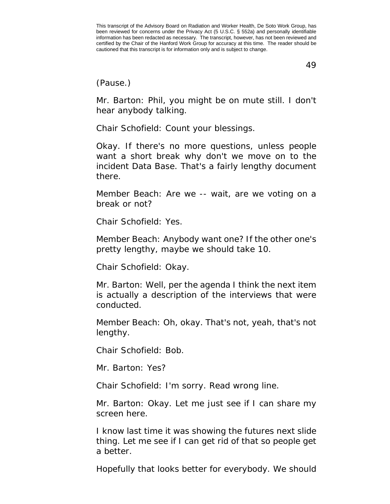(Pause.)

Mr. Barton: Phil, you might be on mute still. I don't hear anybody talking.

Chair Schofield: Count your blessings.

Okay. If there's no more questions, unless people want a short break why don't we move on to the incident Data Base. That's a fairly lengthy document there.

Member Beach: Are we -- wait, are we voting on a break or not?

Chair Schofield: Yes.

Member Beach: Anybody want one? If the other one's pretty lengthy, maybe we should take 10.

Chair Schofield: Okay.

Mr. Barton: Well, per the agenda I think the next item is actually a description of the interviews that were conducted.

Member Beach: Oh, okay. That's not, yeah, that's not lengthy.

Chair Schofield: Bob.

Mr. Barton: Yes?

Chair Schofield: I'm sorry. Read wrong line.

Mr. Barton: Okay. Let me just see if I can share my screen here.

I know last time it was showing the futures next slide thing. Let me see if I can get rid of that so people get a better.

Hopefully that looks better for everybody. We should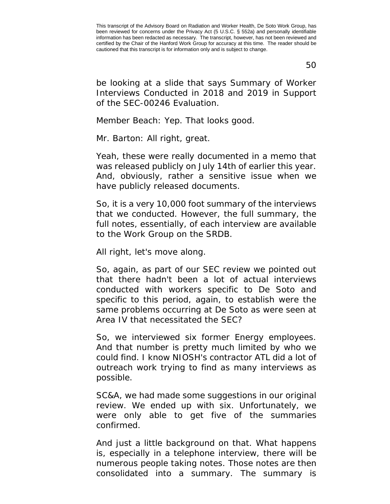50

be looking at a slide that says Summary of Worker Interviews Conducted in 2018 and 2019 in Support of the SEC-00246 Evaluation.

Member Beach: Yep. That looks good.

Mr. Barton: All right, great.

Yeah, these were really documented in a memo that was released publicly on July 14th of earlier this year. And, obviously, rather a sensitive issue when we have publicly released documents.

So, it is a very 10,000 foot summary of the interviews that we conducted. However, the full summary, the full notes, essentially, of each interview are available to the Work Group on the SRDB.

All right, let's move along.

So, again, as part of our SEC review we pointed out that there hadn't been a lot of actual interviews conducted with workers specific to De Soto and specific to this period, again, to establish were the same problems occurring at De Soto as were seen at Area IV that necessitated the SEC?

So, we interviewed six former Energy employees. And that number is pretty much limited by who we could find. I know NIOSH's contractor ATL did a lot of outreach work trying to find as many interviews as possible.

SC&A, we had made some suggestions in our original review. We ended up with six. Unfortunately, we were only able to get five of the summaries confirmed.

And just a little background on that. What happens is, especially in a telephone interview, there will be numerous people taking notes. Those notes are then consolidated into a summary. The summary is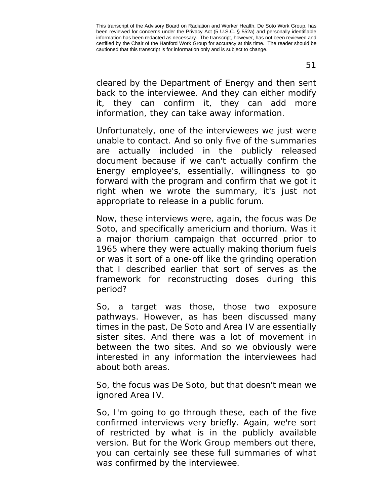cleared by the Department of Energy and then sent back to the interviewee. And they can either modify it, they can confirm it, they can add more information, they can take away information.

Unfortunately, one of the interviewees we just were unable to contact. And so only five of the summaries are actually included in the publicly released document because if we can't actually confirm the Energy employee's, essentially, willingness to go forward with the program and confirm that we got it right when we wrote the summary, it's just not appropriate to release in a public forum.

Now, these interviews were, again, the focus was De Soto, and specifically americium and thorium. Was it a major thorium campaign that occurred prior to 1965 where they were actually making thorium fuels or was it sort of a one-off like the grinding operation that I described earlier that sort of serves as the framework for reconstructing doses during this period?

So, a target was those, those two exposure pathways. However, as has been discussed many times in the past, De Soto and Area IV are essentially sister sites. And there was a lot of movement in between the two sites. And so we obviously were interested in any information the interviewees had about both areas.

So, the focus was De Soto, but that doesn't mean we ignored Area IV.

So, I'm going to go through these, each of the five confirmed interviews very briefly. Again, we're sort of restricted by what is in the publicly available version. But for the Work Group members out there, you can certainly see these full summaries of what was confirmed by the interviewee.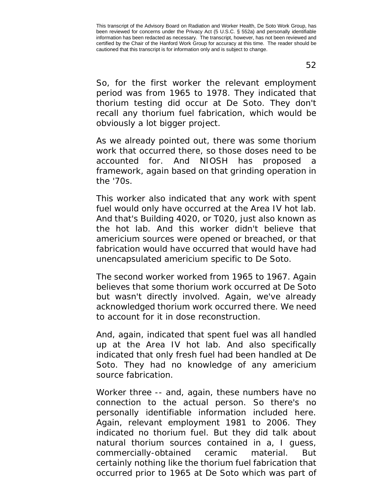So, for the first worker the relevant employment period was from 1965 to 1978. They indicated that thorium testing did occur at De Soto. They don't recall any thorium fuel fabrication, which would be obviously a lot bigger project.

As we already pointed out, there was some thorium work that occurred there, so those doses need to be accounted for. And NIOSH has proposed a framework, again based on that grinding operation in the '70s.

This worker also indicated that any work with spent fuel would only have occurred at the Area IV hot lab. And that's Building 4020, or T020, just also known as the hot lab. And this worker didn't believe that americium sources were opened or breached, or that fabrication would have occurred that would have had unencapsulated americium specific to De Soto.

The second worker worked from 1965 to 1967. Again believes that some thorium work occurred at De Soto but wasn't directly involved. Again, we've already acknowledged thorium work occurred there. We need to account for it in dose reconstruction.

And, again, indicated that spent fuel was all handled up at the Area IV hot lab. And also specifically indicated that only fresh fuel had been handled at De Soto. They had no knowledge of any americium source fabrication.

Worker three -- and, again, these numbers have no connection to the actual person. So there's no personally identifiable information included here. Again, relevant employment 1981 to 2006. They indicated no thorium fuel. But they did talk about natural thorium sources contained in a, I guess, commercially-obtained ceramic material. But certainly nothing like the thorium fuel fabrication that occurred prior to 1965 at De Soto which was part of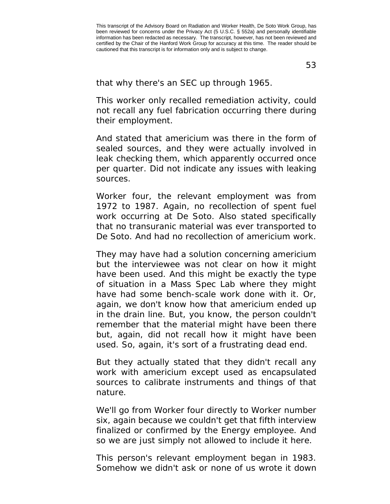53

that why there's an SEC up through 1965.

This worker only recalled remediation activity, could not recall any fuel fabrication occurring there during their employment.

And stated that americium was there in the form of sealed sources, and they were actually involved in leak checking them, which apparently occurred once per quarter. Did not indicate any issues with leaking sources.

Worker four, the relevant employment was from 1972 to 1987. Again, no recollection of spent fuel work occurring at De Soto. Also stated specifically that no transuranic material was ever transported to De Soto. And had no recollection of americium work.

They may have had a solution concerning americium but the interviewee was not clear on how it might have been used. And this might be exactly the type of situation in a Mass Spec Lab where they might have had some bench-scale work done with it. Or, again, we don't know how that americium ended up in the drain line. But, you know, the person couldn't remember that the material might have been there but, again, did not recall how it might have been used. So, again, it's sort of a frustrating dead end.

But they actually stated that they didn't recall any work with americium except used as encapsulated sources to calibrate instruments and things of that nature.

We'll go from Worker four directly to Worker number six, again because we couldn't get that fifth interview finalized or confirmed by the Energy employee. And so we are just simply not allowed to include it here.

This person's relevant employment began in 1983. Somehow we didn't ask or none of us wrote it down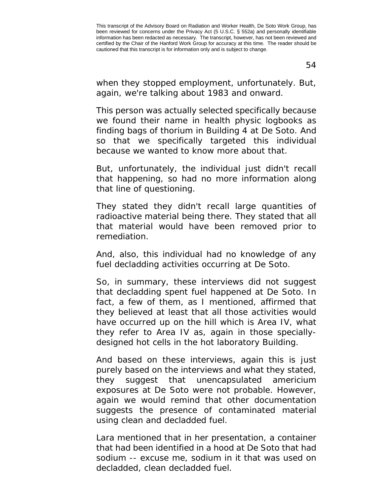when they stopped employment, unfortunately. But, again, we're talking about 1983 and onward.

This person was actually selected specifically because we found their name in health physic logbooks as finding bags of thorium in Building 4 at De Soto. And so that we specifically targeted this individual because we wanted to know more about that.

But, unfortunately, the individual just didn't recall that happening, so had no more information along that line of questioning.

They stated they didn't recall large quantities of radioactive material being there. They stated that all that material would have been removed prior to remediation.

And, also, this individual had no knowledge of any fuel decladding activities occurring at De Soto.

So, in summary, these interviews did not suggest that decladding spent fuel happened at De Soto. In fact, a few of them, as I mentioned, affirmed that they believed at least that all those activities would have occurred up on the hill which is Area IV, what they refer to Area IV as, again in those speciallydesigned hot cells in the hot laboratory Building.

And based on these interviews, again this is just purely based on the interviews and what they stated, they suggest that unencapsulated americium exposures at De Soto were not probable. However, again we would remind that other documentation suggests the presence of contaminated material using clean and decladded fuel.

Lara mentioned that in her presentation, a container that had been identified in a hood at De Soto that had sodium -- excuse me, sodium in it that was used on decladded, clean decladded fuel.

This transcript of the Advisory Board on Radiation and Worker Health, De Soto Work Group, has been reviewed for concerns under the Privacy Act (5 U.S.C. § 552a) and personally identifiable information has been redacted as necessary. The transcript, however, has not been reviewed and certified by the Chair of the Hanford Work Group for accuracy at this time. The reader should be cautioned that this transcript is for information only and is subject to change.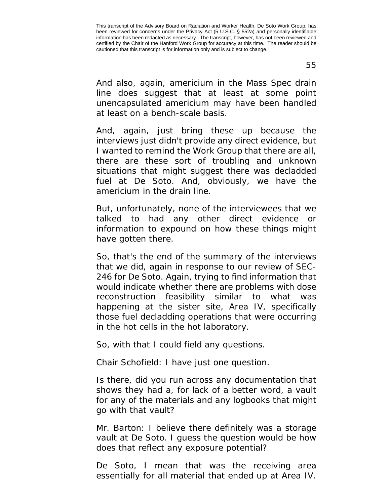And also, again, americium in the Mass Spec drain line does suggest that at least at some point unencapsulated americium may have been handled at least on a bench-scale basis.

And, again, just bring these up because the interviews just didn't provide any direct evidence, but I wanted to remind the Work Group that there are all, there are these sort of troubling and unknown situations that might suggest there was decladded fuel at De Soto. And, obviously, we have the americium in the drain line.

But, unfortunately, none of the interviewees that we talked to had any other direct evidence or information to expound on how these things might have gotten there.

So, that's the end of the summary of the interviews that we did, again in response to our review of SEC-246 for De Soto. Again, trying to find information that would indicate whether there are problems with dose reconstruction feasibility similar to what was happening at the sister site, Area IV, specifically those fuel decladding operations that were occurring in the hot cells in the hot laboratory.

So, with that I could field any questions.

Chair Schofield: I have just one question.

Is there, did you run across any documentation that shows they had a, for lack of a better word, a vault for any of the materials and any logbooks that might go with that vault?

Mr. Barton: I believe there definitely was a storage vault at De Soto. I guess the question would be how does that reflect any exposure potential?

De Soto, I mean that was the receiving area essentially for all material that ended up at Area IV.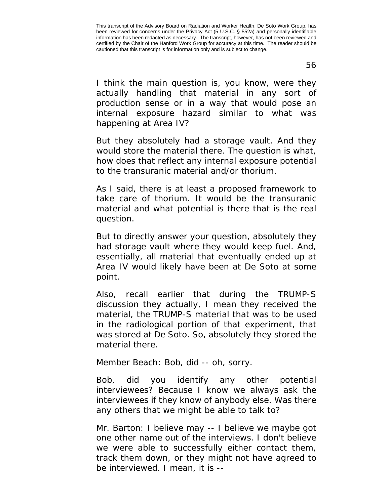I think the main question is, you know, were they actually handling that material in any sort of production sense or in a way that would pose an internal exposure hazard similar to what was happening at Area IV?

But they absolutely had a storage vault. And they would store the material there. The question is what, how does that reflect any internal exposure potential to the transuranic material and/or thorium.

As I said, there is at least a proposed framework to take care of thorium. It would be the transuranic material and what potential is there that is the real question.

But to directly answer your question, absolutely they had storage vault where they would keep fuel. And, essentially, all material that eventually ended up at Area IV would likely have been at De Soto at some point.

Also, recall earlier that during the TRUMP-S discussion they actually, I mean they received the material, the TRUMP-S material that was to be used in the radiological portion of that experiment, that was stored at De Soto. So, absolutely they stored the material there.

Member Beach: Bob, did -- oh, sorry.

Bob, did you identify any other potential interviewees? Because I know we always ask the interviewees if they know of anybody else. Was there any others that we might be able to talk to?

Mr. Barton: I believe may -- I believe we maybe got one other name out of the interviews. I don't believe we were able to successfully either contact them, track them down, or they might not have agreed to be interviewed. I mean, it is --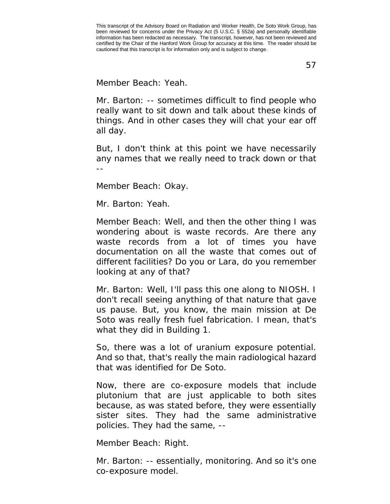Member Beach: Yeah.

Mr. Barton: -- sometimes difficult to find people who really want to sit down and talk about these kinds of things. And in other cases they will chat your ear off all day.

But, I don't think at this point we have necessarily any names that we really need to track down or that --

Member Beach: Okay.

Mr. Barton: Yeah.

Member Beach: Well, and then the other thing I was wondering about is waste records. Are there any waste records from a lot of times you have documentation on all the waste that comes out of different facilities? Do you or Lara, do you remember looking at any of that?

Mr. Barton: Well, I'll pass this one along to NIOSH. I don't recall seeing anything of that nature that gave us pause. But, you know, the main mission at De Soto was really fresh fuel fabrication. I mean, that's what they did in Building 1.

So, there was a lot of uranium exposure potential. And so that, that's really the main radiological hazard that was identified for De Soto.

Now, there are co-exposure models that include plutonium that are just applicable to both sites because, as was stated before, they were essentially sister sites. They had the same administrative policies. They had the same, --

Member Beach: Right.

Mr. Barton: -- essentially, monitoring. And so it's one co-exposure model.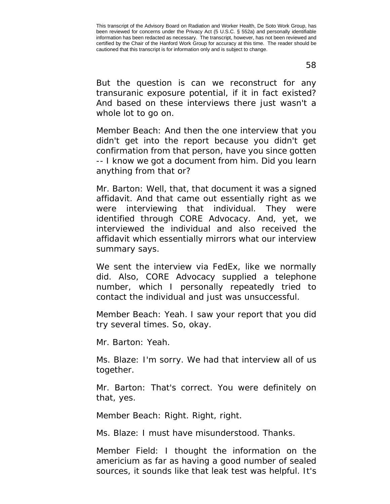But the question is can we reconstruct for any

transuranic exposure potential, if it in fact existed? And based on these interviews there just wasn't a whole lot to go on.

Member Beach: And then the one interview that you didn't get into the report because you didn't get confirmation from that person, have you since gotten -- I know we got a document from him. Did you learn anything from that or?

Mr. Barton: Well, that, that document it was a signed affidavit. And that came out essentially right as we were interviewing that individual. They were identified through CORE Advocacy. And, yet, we interviewed the individual and also received the affidavit which essentially mirrors what our interview summary says.

We sent the interview via FedEx, like we normally did. Also, CORE Advocacy supplied a telephone number, which I personally repeatedly tried to contact the individual and just was unsuccessful.

Member Beach: Yeah. I saw your report that you did try several times. So, okay.

Mr. Barton: Yeah.

Ms. Blaze: I'm sorry. We had that interview all of us together.

Mr. Barton: That's correct. You were definitely on that, yes.

Member Beach: Right. Right, right.

Ms. Blaze: I must have misunderstood. Thanks.

Member Field: I thought the information on the americium as far as having a good number of sealed sources, it sounds like that leak test was helpful. It's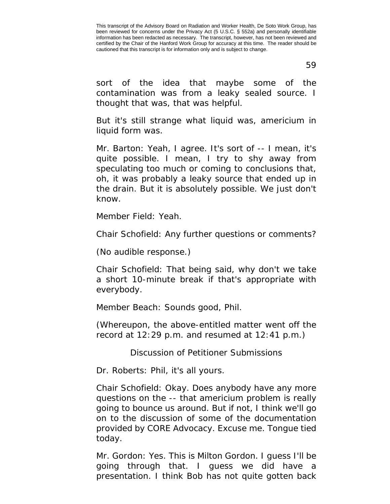59

sort of the idea that maybe some of the contamination was from a leaky sealed source. I thought that was, that was helpful.

But it's still strange what liquid was, americium in liquid form was.

Mr. Barton: Yeah, I agree. It's sort of -- I mean, it's quite possible. I mean, I try to shy away from speculating too much or coming to conclusions that, oh, it was probably a leaky source that ended up in the drain. But it is absolutely possible. We just don't know.

Member Field: Yeah.

Chair Schofield: Any further questions or comments?

(No audible response.)

Chair Schofield: That being said, why don't we take a short 10-minute break if that's appropriate with everybody.

Member Beach: Sounds good, Phil.

(Whereupon, the above-entitled matter went off the record at 12:29 p.m. and resumed at 12:41 p.m.)

Discussion of Petitioner Submissions

Dr. Roberts: Phil, it's all yours.

Chair Schofield: Okay. Does anybody have any more questions on the -- that americium problem is really going to bounce us around. But if not, I think we'll go on to the discussion of some of the documentation provided by CORE Advocacy. Excuse me. Tongue tied today.

Mr. Gordon: Yes. This is Milton Gordon. I guess I'll be going through that. I guess we did have a presentation. I think Bob has not quite gotten back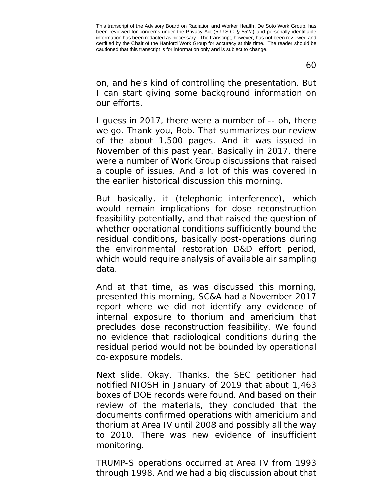60

on, and he's kind of controlling the presentation. But I can start giving some background information on our efforts.

I guess in 2017, there were a number of -- oh, there we go. Thank you, Bob. That summarizes our review of the about 1,500 pages. And it was issued in November of this past year. Basically in 2017, there were a number of Work Group discussions that raised a couple of issues. And a lot of this was covered in the earlier historical discussion this morning.

But basically, it (telephonic interference), which would remain implications for dose reconstruction feasibility potentially, and that raised the question of whether operational conditions sufficiently bound the residual conditions, basically post-operations during the environmental restoration D&D effort period, which would require analysis of available air sampling data.

And at that time, as was discussed this morning, presented this morning, SC&A had a November 2017 report where we did not identify any evidence of internal exposure to thorium and americium that precludes dose reconstruction feasibility. We found no evidence that radiological conditions during the residual period would not be bounded by operational co-exposure models.

Next slide. Okay. Thanks. the SEC petitioner had notified NIOSH in January of 2019 that about 1,463 boxes of DOE records were found. And based on their review of the materials, they concluded that the documents confirmed operations with americium and thorium at Area IV until 2008 and possibly all the way to 2010. There was new evidence of insufficient monitoring.

TRUMP-S operations occurred at Area IV from 1993 through 1998. And we had a big discussion about that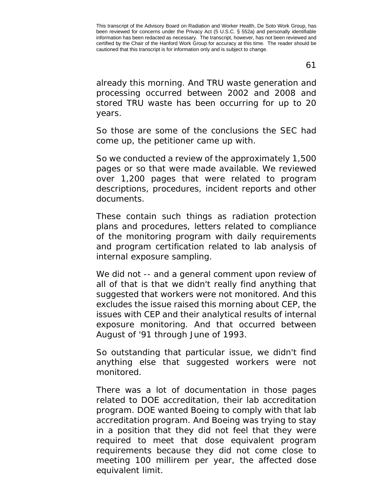61

already this morning. And TRU waste generation and processing occurred between 2002 and 2008 and stored TRU waste has been occurring for up to 20 years.

So those are some of the conclusions the SEC had come up, the petitioner came up with.

So we conducted a review of the approximately 1,500 pages or so that were made available. We reviewed over 1,200 pages that were related to program descriptions, procedures, incident reports and other documents.

These contain such things as radiation protection plans and procedures, letters related to compliance of the monitoring program with daily requirements and program certification related to lab analysis of internal exposure sampling.

We did not -- and a general comment upon review of all of that is that we didn't really find anything that suggested that workers were not monitored. And this excludes the issue raised this morning about CEP, the issues with CEP and their analytical results of internal exposure monitoring. And that occurred between August of '91 through June of 1993.

So outstanding that particular issue, we didn't find anything else that suggested workers were not monitored.

There was a lot of documentation in those pages related to DOE accreditation, their lab accreditation program. DOE wanted Boeing to comply with that lab accreditation program. And Boeing was trying to stay in a position that they did not feel that they were required to meet that dose equivalent program requirements because they did not come close to meeting 100 millirem per year, the affected dose equivalent limit.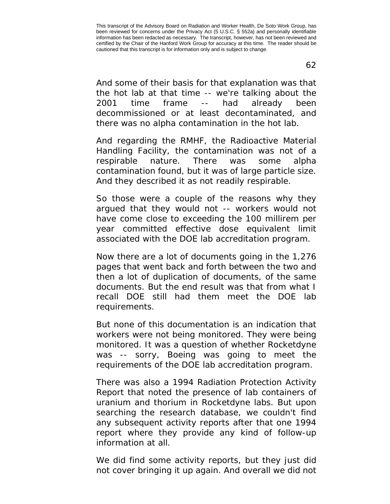And some of their basis for that explanation was that the hot lab at that time -- we're talking about the 2001 time frame -- had already been decommissioned or at least decontaminated, and there was no alpha contamination in the hot lab.

And regarding the RMHF, the Radioactive Material Handling Facility, the contamination was not of a respirable nature. There was some alpha contamination found, but it was of large particle size. And they described it as not readily respirable.

So those were a couple of the reasons why they argued that they would not -- workers would not have come close to exceeding the 100 millirem per year committed effective dose equivalent limit associated with the DOE lab accreditation program.

Now there are a lot of documents going in the 1,276 pages that went back and forth between the two and then a lot of duplication of documents, of the same documents. But the end result was that from what I recall DOE still had them meet the DOE lab requirements.

But none of this documentation is an indication that workers were not being monitored. They were being monitored. It was a question of whether Rocketdyne was -- sorry, Boeing was going to meet the requirements of the DOE lab accreditation program.

There was also a 1994 Radiation Protection Activity Report that noted the presence of lab containers of uranium and thorium in Rocketdyne labs. But upon searching the research database, we couldn't find any subsequent activity reports after that one 1994 report where they provide any kind of follow-up information at all.

We did find some activity reports, but they just did not cover bringing it up again. And overall we did not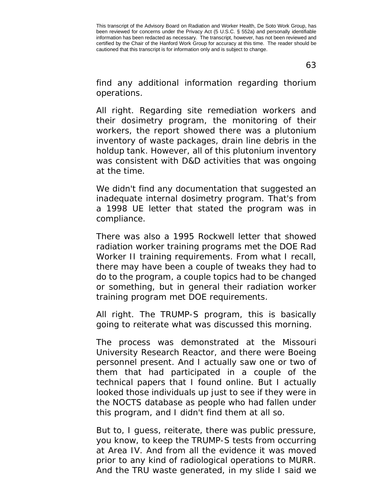63

find any additional information regarding thorium operations.

All right. Regarding site remediation workers and their dosimetry program, the monitoring of their workers, the report showed there was a plutonium inventory of waste packages, drain line debris in the holdup tank. However, all of this plutonium inventory was consistent with D&D activities that was ongoing at the time.

We didn't find any documentation that suggested an inadequate internal dosimetry program. That's from a 1998 UE letter that stated the program was in compliance.

There was also a 1995 Rockwell letter that showed radiation worker training programs met the DOE Rad Worker II training requirements. From what I recall, there may have been a couple of tweaks they had to do to the program, a couple topics had to be changed or something, but in general their radiation worker training program met DOE requirements.

All right. The TRUMP-S program, this is basically going to reiterate what was discussed this morning.

The process was demonstrated at the Missouri University Research Reactor, and there were Boeing personnel present. And I actually saw one or two of them that had participated in a couple of the technical papers that I found online. But I actually looked those individuals up just to see if they were in the NOCTS database as people who had fallen under this program, and I didn't find them at all so.

But to, I guess, reiterate, there was public pressure, you know, to keep the TRUMP-S tests from occurring at Area IV. And from all the evidence it was moved prior to any kind of radiological operations to MURR. And the TRU waste generated, in my slide I said we

This transcript of the Advisory Board on Radiation and Worker Health, De Soto Work Group, has been reviewed for concerns under the Privacy Act (5 U.S.C. § 552a) and personally identifiable information has been redacted as necessary. The transcript, however, has not been reviewed and certified by the Chair of the Hanford Work Group for accuracy at this time. The reader should be cautioned that this transcript is for information only and is subject to change.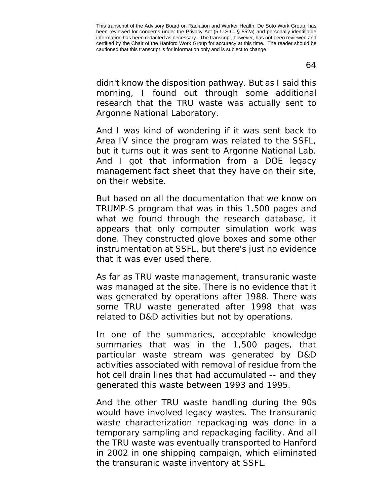didn't know the disposition pathway. But as I said this morning, I found out through some additional research that the TRU waste was actually sent to Argonne National Laboratory.

And I was kind of wondering if it was sent back to Area IV since the program was related to the SSFL, but it turns out it was sent to Argonne National Lab. And I got that information from a DOE legacy management fact sheet that they have on their site, on their website.

But based on all the documentation that we know on TRUMP-S program that was in this 1,500 pages and what we found through the research database, it appears that only computer simulation work was done. They constructed glove boxes and some other instrumentation at SSFL, but there's just no evidence that it was ever used there.

As far as TRU waste management, transuranic waste was managed at the site. There is no evidence that it was generated by operations after 1988. There was some TRU waste generated after 1998 that was related to D&D activities but not by operations.

In one of the summaries, acceptable knowledge summaries that was in the 1,500 pages, that particular waste stream was generated by D&D activities associated with removal of residue from the hot cell drain lines that had accumulated -- and they generated this waste between 1993 and 1995.

And the other TRU waste handling during the 90s would have involved legacy wastes. The transuranic waste characterization repackaging was done in a temporary sampling and repackaging facility. And all the TRU waste was eventually transported to Hanford in 2002 in one shipping campaign, which eliminated the transuranic waste inventory at SSFL.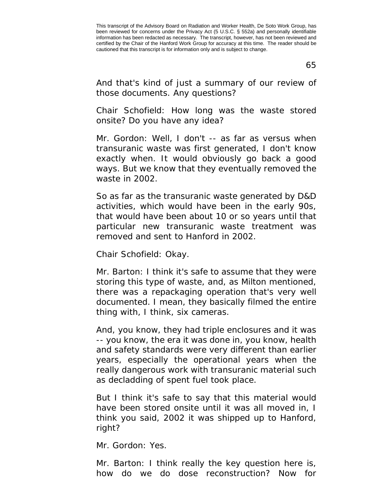65

And that's kind of just a summary of our review of those documents. Any questions?

Chair Schofield: How long was the waste stored onsite? Do you have any idea?

Mr. Gordon: Well, I don't -- as far as versus when transuranic waste was first generated, I don't know exactly when. It would obviously go back a good ways. But we know that they eventually removed the waste in 2002.

So as far as the transuranic waste generated by D&D activities, which would have been in the early 90s, that would have been about 10 or so years until that particular new transuranic waste treatment was removed and sent to Hanford in 2002.

Chair Schofield: Okay.

Mr. Barton: I think it's safe to assume that they were storing this type of waste, and, as Milton mentioned, there was a repackaging operation that's very well documented. I mean, they basically filmed the entire thing with, I think, six cameras.

And, you know, they had triple enclosures and it was -- you know, the era it was done in, you know, health and safety standards were very different than earlier years, especially the operational years when the really dangerous work with transuranic material such as decladding of spent fuel took place.

But I think it's safe to say that this material would have been stored onsite until it was all moved in, I think you said, 2002 it was shipped up to Hanford, right?

Mr. Gordon: Yes.

Mr. Barton: I think really the key question here is, how do we do dose reconstruction? Now for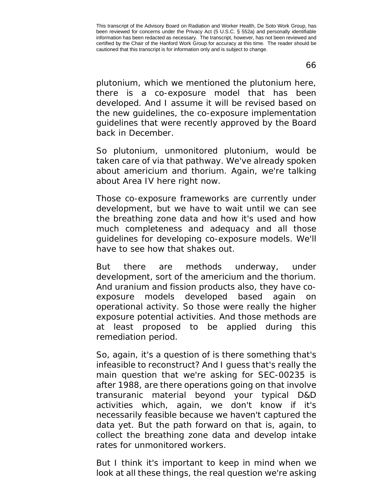plutonium, which we mentioned the plutonium here, there is a co-exposure model that has been developed. And I assume it will be revised based on the new guidelines, the co-exposure implementation guidelines that were recently approved by the Board back in December.

So plutonium, unmonitored plutonium, would be taken care of via that pathway. We've already spoken about americium and thorium. Again, we're talking about Area IV here right now.

Those co-exposure frameworks are currently under development, but we have to wait until we can see the breathing zone data and how it's used and how much completeness and adequacy and all those guidelines for developing co-exposure models. We'll have to see how that shakes out.

But there are methods underway, under development, sort of the americium and the thorium. And uranium and fission products also, they have coexposure models developed based again on operational activity. So those were really the higher exposure potential activities. And those methods are at least proposed to be applied during this remediation period.

So, again, it's a question of is there something that's infeasible to reconstruct? And I guess that's really the main question that we're asking for SEC-00235 is after 1988, are there operations going on that involve transuranic material beyond your typical D&D activities which, again, we don't know if it's necessarily feasible because we haven't captured the data yet. But the path forward on that is, again, to collect the breathing zone data and develop intake rates for unmonitored workers.

But I think it's important to keep in mind when we look at all these things, the real question we're asking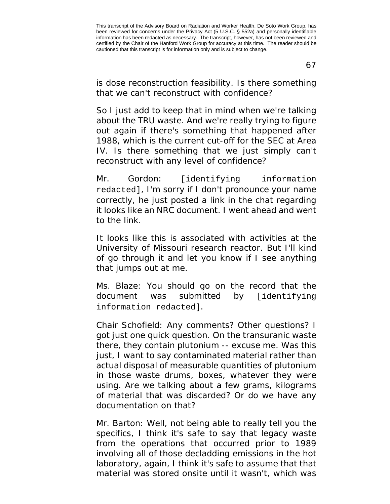67

is dose reconstruction feasibility. Is there something that we can't reconstruct with confidence?

So I just add to keep that in mind when we're talking about the TRU waste. And we're really trying to figure out again if there's something that happened after 1988, which is the current cut-off for the SEC at Area IV. Is there something that we just simply can't reconstruct with any level of confidence?

Mr. Gordon: [identifying information redacted], I'm sorry if I don't pronounce your name correctly, he just posted a link in the chat regarding it looks like an NRC document. I went ahead and went to the link.

It looks like this is associated with activities at the University of Missouri research reactor. But I'll kind of go through it and let you know if I see anything that jumps out at me.

Ms. Blaze: You should go on the record that the document was submitted by [identifying information redacted].

Chair Schofield: Any comments? Other questions? I got just one quick question. On the transuranic waste there, they contain plutonium -- excuse me. Was this just, I want to say contaminated material rather than actual disposal of measurable quantities of plutonium in those waste drums, boxes, whatever they were using. Are we talking about a few grams, kilograms of material that was discarded? Or do we have any documentation on that?

Mr. Barton: Well, not being able to really tell you the specifics, I think it's safe to say that legacy waste from the operations that occurred prior to 1989 involving all of those decladding emissions in the hot laboratory, again, I think it's safe to assume that that material was stored onsite until it wasn't, which was

This transcript of the Advisory Board on Radiation and Worker Health, De Soto Work Group, has been reviewed for concerns under the Privacy Act (5 U.S.C. § 552a) and personally identifiable information has been redacted as necessary. The transcript, however, has not been reviewed and certified by the Chair of the Hanford Work Group for accuracy at this time. The reader should be cautioned that this transcript is for information only and is subject to change.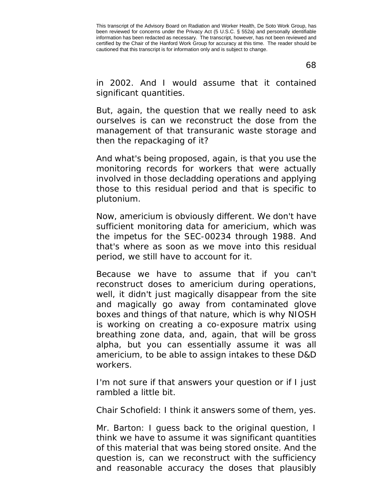68

in 2002. And I would assume that it contained significant quantities.

But, again, the question that we really need to ask ourselves is can we reconstruct the dose from the management of that transuranic waste storage and then the repackaging of it?

And what's being proposed, again, is that you use the monitoring records for workers that were actually involved in those decladding operations and applying those to this residual period and that is specific to plutonium.

Now, americium is obviously different. We don't have sufficient monitoring data for americium, which was the impetus for the SEC-00234 through 1988. And that's where as soon as we move into this residual period, we still have to account for it.

Because we have to assume that if you can't reconstruct doses to americium during operations, well, it didn't just magically disappear from the site and magically go away from contaminated glove boxes and things of that nature, which is why NIOSH is working on creating a co-exposure matrix using breathing zone data, and, again, that will be gross alpha, but you can essentially assume it was all americium, to be able to assign intakes to these D&D workers.

I'm not sure if that answers your question or if I just rambled a little bit.

Chair Schofield: I think it answers some of them, yes.

Mr. Barton: I guess back to the original question, I think we have to assume it was significant quantities of this material that was being stored onsite. And the question is, can we reconstruct with the sufficiency and reasonable accuracy the doses that plausibly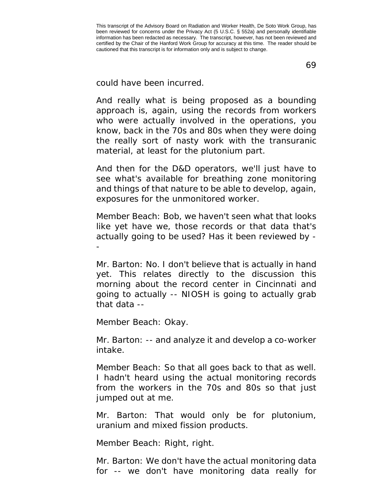69

could have been incurred.

And really what is being proposed as a bounding approach is, again, using the records from workers who were actually involved in the operations, you know, back in the 70s and 80s when they were doing the really sort of nasty work with the transuranic material, at least for the plutonium part.

And then for the D&D operators, we'll just have to see what's available for breathing zone monitoring and things of that nature to be able to develop, again, exposures for the unmonitored worker.

Member Beach: Bob, we haven't seen what that looks like yet have we, those records or that data that's actually going to be used? Has it been reviewed by - -

Mr. Barton: No. I don't believe that is actually in hand yet. This relates directly to the discussion this morning about the record center in Cincinnati and going to actually -- NIOSH is going to actually grab that data --

Member Beach: Okay.

Mr. Barton: -- and analyze it and develop a co-worker intake.

Member Beach: So that all goes back to that as well. I hadn't heard using the actual monitoring records from the workers in the 70s and 80s so that just jumped out at me.

Mr. Barton: That would only be for plutonium, uranium and mixed fission products.

Member Beach: Right, right.

Mr. Barton: We don't have the actual monitoring data for -- we don't have monitoring data really for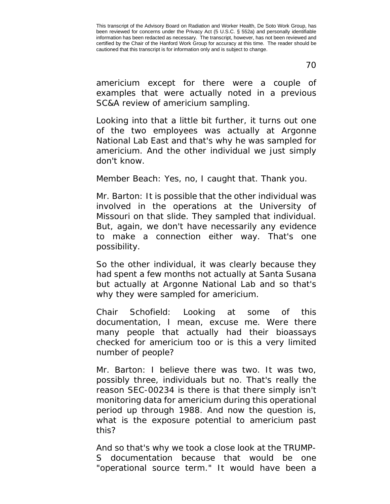70

americium except for there were a couple of examples that were actually noted in a previous SC&A review of americium sampling.

Looking into that a little bit further, it turns out one of the two employees was actually at Argonne National Lab East and that's why he was sampled for americium. And the other individual we just simply don't know.

Member Beach: Yes, no, I caught that. Thank you.

Mr. Barton: It is possible that the other individual was involved in the operations at the University of Missouri on that slide. They sampled that individual. But, again, we don't have necessarily any evidence to make a connection either way. That's one possibility.

So the other individual, it was clearly because they had spent a few months not actually at Santa Susana but actually at Argonne National Lab and so that's why they were sampled for americium.

Chair Schofield: Looking at some of this documentation, I mean, excuse me. Were there many people that actually had their bioassays checked for americium too or is this a very limited number of people?

Mr. Barton: I believe there was two. It was two, possibly three, individuals but no. That's really the reason SEC-00234 is there is that there simply isn't monitoring data for americium during this operational period up through 1988. And now the question is, what is the exposure potential to americium past this?

And so that's why we took a close look at the TRUMP-S documentation because that would be one "operational source term." It would have been a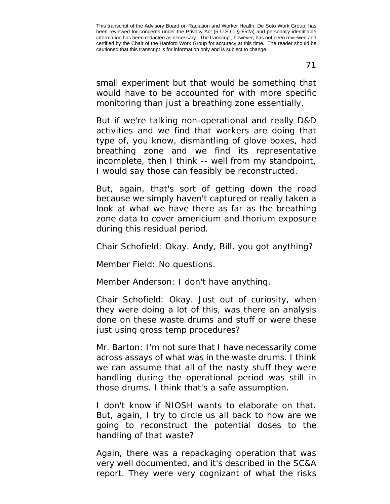small experiment but that would be something that would have to be accounted for with more specific monitoring than just a breathing zone essentially.

But if we're talking non-operational and really D&D activities and we find that workers are doing that type of, you know, dismantling of glove boxes, had breathing zone and we find its representative incomplete, then I think -- well from my standpoint, I would say those can feasibly be reconstructed.

But, again, that's sort of getting down the road because we simply haven't captured or really taken a look at what we have there as far as the breathing zone data to cover americium and thorium exposure during this residual period.

Chair Schofield: Okay. Andy, Bill, you got anything?

Member Field: No questions.

Member Anderson: I don't have anything.

Chair Schofield: Okay. Just out of curiosity, when they were doing a lot of this, was there an analysis done on these waste drums and stuff or were these just using gross temp procedures?

Mr. Barton: I'm not sure that I have necessarily come across assays of what was in the waste drums. I think we can assume that all of the nasty stuff they were handling during the operational period was still in those drums. I think that's a safe assumption.

I don't know if NIOSH wants to elaborate on that. But, again, I try to circle us all back to how are we going to reconstruct the potential doses to the handling of that waste?

Again, there was a repackaging operation that was very well documented, and it's described in the SC&A report. They were very cognizant of what the risks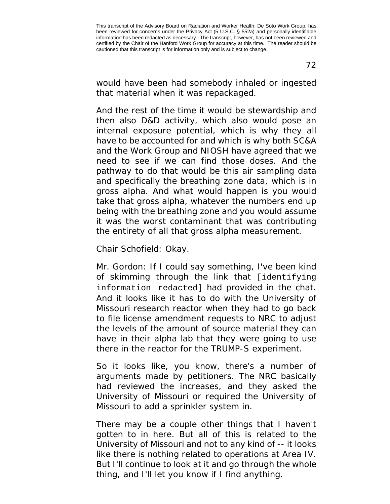that material when it was repackaged.

would have been had somebody inhaled or ingested

And the rest of the time it would be stewardship and then also D&D activity, which also would pose an internal exposure potential, which is why they all have to be accounted for and which is why both SC&A and the Work Group and NIOSH have agreed that we need to see if we can find those doses. And the pathway to do that would be this air sampling data and specifically the breathing zone data, which is in gross alpha. And what would happen is you would take that gross alpha, whatever the numbers end up being with the breathing zone and you would assume it was the worst contaminant that was contributing the entirety of all that gross alpha measurement.

Chair Schofield: Okay.

Mr. Gordon: If I could say something, I've been kind of skimming through the link that [identifying information redacted] had provided in the chat. And it looks like it has to do with the University of Missouri research reactor when they had to go back to file license amendment requests to NRC to adjust the levels of the amount of source material they can have in their alpha lab that they were going to use there in the reactor for the TRUMP-S experiment.

So it looks like, you know, there's a number of arguments made by petitioners. The NRC basically had reviewed the increases, and they asked the University of Missouri or required the University of Missouri to add a sprinkler system in.

There may be a couple other things that I haven't gotten to in here. But all of this is related to the University of Missouri and not to any kind of -- it looks like there is nothing related to operations at Area IV. But I'll continue to look at it and go through the whole thing, and I'll let you know if I find anything.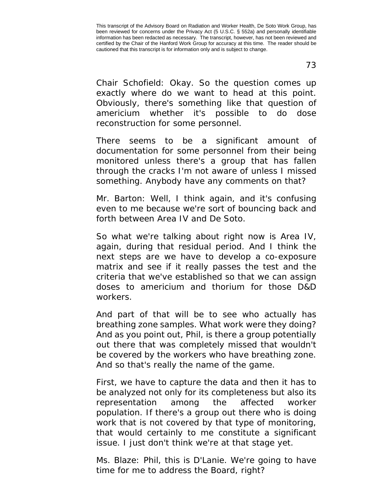73

Chair Schofield: Okay. So the question comes up exactly where do we want to head at this point. Obviously, there's something like that question of americium whether it's possible to do dose reconstruction for some personnel.

There seems to be a significant amount of documentation for some personnel from their being monitored unless there's a group that has fallen through the cracks I'm not aware of unless I missed something. Anybody have any comments on that?

Mr. Barton: Well, I think again, and it's confusing even to me because we're sort of bouncing back and forth between Area IV and De Soto.

So what we're talking about right now is Area IV, again, during that residual period. And I think the next steps are we have to develop a co-exposure matrix and see if it really passes the test and the criteria that we've established so that we can assign doses to americium and thorium for those D&D workers.

And part of that will be to see who actually has breathing zone samples. What work were they doing? And as you point out, Phil, is there a group potentially out there that was completely missed that wouldn't be covered by the workers who have breathing zone. And so that's really the name of the game.

First, we have to capture the data and then it has to be analyzed not only for its completeness but also its representation among the affected worker population. If there's a group out there who is doing work that is not covered by that type of monitoring, that would certainly to me constitute a significant issue. I just don't think we're at that stage yet.

Ms. Blaze: Phil, this is D'Lanie. We're going to have time for me to address the Board, right?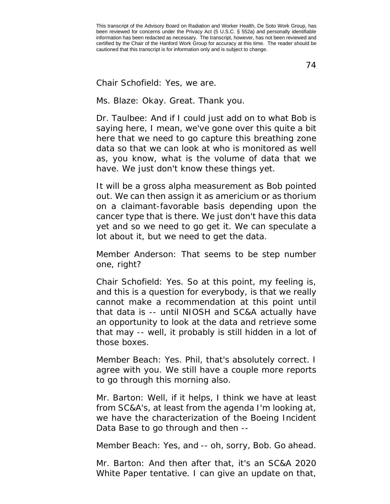74

Chair Schofield: Yes, we are.

Ms. Blaze: Okay. Great. Thank you.

Dr. Taulbee: And if I could just add on to what Bob is saying here, I mean, we've gone over this quite a bit here that we need to go capture this breathing zone data so that we can look at who is monitored as well as, you know, what is the volume of data that we have. We just don't know these things yet.

It will be a gross alpha measurement as Bob pointed out. We can then assign it as americium or as thorium on a claimant-favorable basis depending upon the cancer type that is there. We just don't have this data yet and so we need to go get it. We can speculate a lot about it, but we need to get the data.

Member Anderson: That seems to be step number one, right?

Chair Schofield: Yes. So at this point, my feeling is, and this is a question for everybody, is that we really cannot make a recommendation at this point until that data is -- until NIOSH and SC&A actually have an opportunity to look at the data and retrieve some that may -- well, it probably is still hidden in a lot of those boxes.

Member Beach: Yes. Phil, that's absolutely correct. I agree with you. We still have a couple more reports to go through this morning also.

Mr. Barton: Well, if it helps, I think we have at least from SC&A's, at least from the agenda I'm looking at, we have the characterization of the Boeing Incident Data Base to go through and then --

Member Beach: Yes, and -- oh, sorry, Bob. Go ahead.

Mr. Barton: And then after that, it's an SC&A 2020 White Paper tentative. I can give an update on that,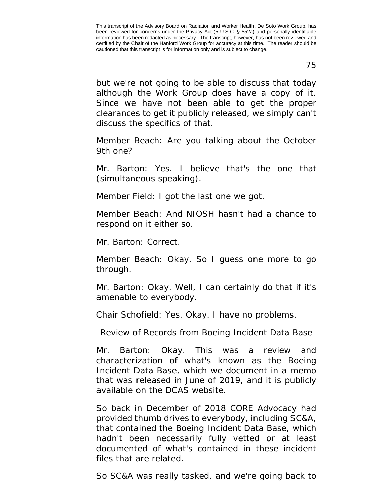75

but we're not going to be able to discuss that today although the Work Group does have a copy of it. Since we have not been able to get the proper clearances to get it publicly released, we simply can't discuss the specifics of that.

Member Beach: Are you talking about the October 9th one?

Mr. Barton: Yes. I believe that's the one that (simultaneous speaking).

Member Field: I got the last one we got.

Member Beach: And NIOSH hasn't had a chance to respond on it either so.

Mr. Barton: Correct.

Member Beach: Okay. So I guess one more to go through.

Mr. Barton: Okay. Well, I can certainly do that if it's amenable to everybody.

Chair Schofield: Yes. Okay. I have no problems.

Review of Records from Boeing Incident Data Base

Mr. Barton: Okay. This was a review and characterization of what's known as the Boeing Incident Data Base, which we document in a memo that was released in June of 2019, and it is publicly available on the DCAS website.

So back in December of 2018 CORE Advocacy had provided thumb drives to everybody, including SC&A, that contained the Boeing Incident Data Base, which hadn't been necessarily fully vetted or at least documented of what's contained in these incident files that are related.

So SC&A was really tasked, and we're going back to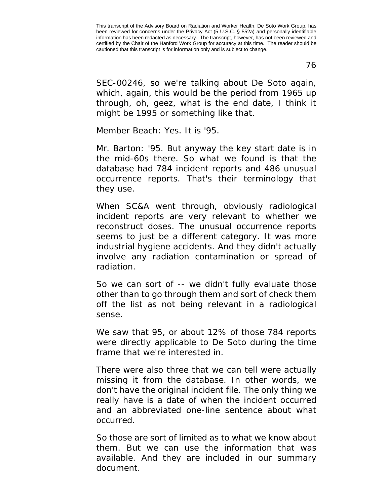76

SEC-00246, so we're talking about De Soto again, which, again, this would be the period from 1965 up through, oh, geez, what is the end date, I think it might be 1995 or something like that.

Member Beach: Yes. It is '95.

Mr. Barton: '95. But anyway the key start date is in the mid-60s there. So what we found is that the database had 784 incident reports and 486 unusual occurrence reports. That's their terminology that they use.

When SC&A went through, obviously radiological incident reports are very relevant to whether we reconstruct doses. The unusual occurrence reports seems to just be a different category. It was more industrial hygiene accidents. And they didn't actually involve any radiation contamination or spread of radiation.

So we can sort of -- we didn't fully evaluate those other than to go through them and sort of check them off the list as not being relevant in a radiological sense.

We saw that 95, or about 12% of those 784 reports were directly applicable to De Soto during the time frame that we're interested in.

There were also three that we can tell were actually missing it from the database. In other words, we don't have the original incident file. The only thing we really have is a date of when the incident occurred and an abbreviated one-line sentence about what occurred.

So those are sort of limited as to what we know about them. But we can use the information that was available. And they are included in our summary document.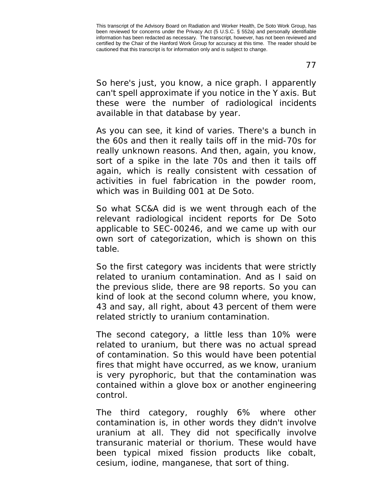So here's just, you know, a nice graph. I apparently can't spell approximate if you notice in the Y axis. But these were the number of radiological incidents available in that database by year.

As you can see, it kind of varies. There's a bunch in the 60s and then it really tails off in the mid-70s for really unknown reasons. And then, again, you know, sort of a spike in the late 70s and then it tails off again, which is really consistent with cessation of activities in fuel fabrication in the powder room, which was in Building 001 at De Soto.

So what SC&A did is we went through each of the relevant radiological incident reports for De Soto applicable to SEC-00246, and we came up with our own sort of categorization, which is shown on this table.

So the first category was incidents that were strictly related to uranium contamination. And as I said on the previous slide, there are 98 reports. So you can kind of look at the second column where, you know, 43 and say, all right, about 43 percent of them were related strictly to uranium contamination.

The second category, a little less than 10% were related to uranium, but there was no actual spread of contamination. So this would have been potential fires that might have occurred, as we know, uranium is very pyrophoric, but that the contamination was contained within a glove box or another engineering control.

The third category, roughly 6% where other contamination is, in other words they didn't involve uranium at all. They did not specifically involve transuranic material or thorium. These would have been typical mixed fission products like cobalt, cesium, iodine, manganese, that sort of thing.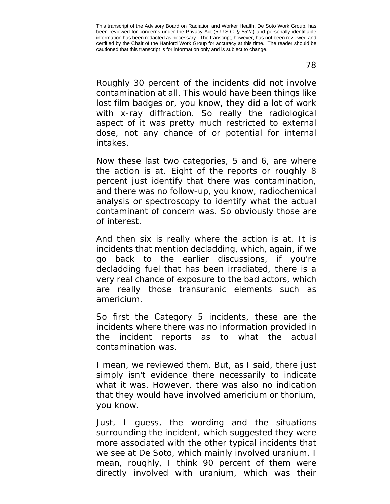Roughly 30 percent of the incidents did not involve contamination at all. This would have been things like lost film badges or, you know, they did a lot of work with x-ray diffraction. So really the radiological aspect of it was pretty much restricted to external dose, not any chance of or potential for internal intakes.

Now these last two categories, 5 and 6, are where the action is at. Eight of the reports or roughly 8 percent just identify that there was contamination, and there was no follow-up, you know, radiochemical analysis or spectroscopy to identify what the actual contaminant of concern was. So obviously those are of interest.

And then six is really where the action is at. It is incidents that mention decladding, which, again, if we go back to the earlier discussions, if you're decladding fuel that has been irradiated, there is a very real chance of exposure to the bad actors, which are really those transuranic elements such as americium.

So first the Category 5 incidents, these are the incidents where there was no information provided in the incident reports as to what the actual contamination was.

I mean, we reviewed them. But, as I said, there just simply isn't evidence there necessarily to indicate what it was. However, there was also no indication that they would have involved americium or thorium, you know.

Just, I guess, the wording and the situations surrounding the incident, which suggested they were more associated with the other typical incidents that we see at De Soto, which mainly involved uranium. I mean, roughly, I think 90 percent of them were directly involved with uranium, which was their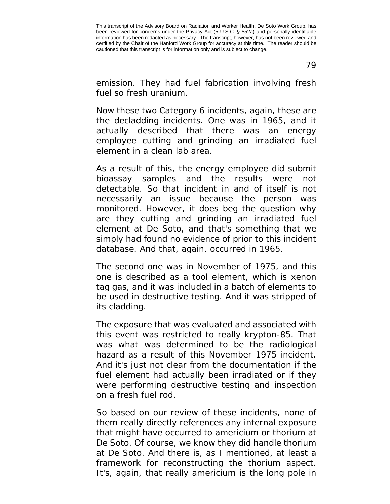79

emission. They had fuel fabrication involving fresh fuel so fresh uranium.

Now these two Category 6 incidents, again, these are the decladding incidents. One was in 1965, and it actually described that there was an energy employee cutting and grinding an irradiated fuel element in a clean lab area.

As a result of this, the energy employee did submit bioassay samples and the results were not detectable. So that incident in and of itself is not necessarily an issue because the person was monitored. However, it does beg the question why are they cutting and grinding an irradiated fuel element at De Soto, and that's something that we simply had found no evidence of prior to this incident database. And that, again, occurred in 1965.

The second one was in November of 1975, and this one is described as a tool element, which is xenon tag gas, and it was included in a batch of elements to be used in destructive testing. And it was stripped of its cladding.

The exposure that was evaluated and associated with this event was restricted to really krypton-85. That was what was determined to be the radiological hazard as a result of this November 1975 incident. And it's just not clear from the documentation if the fuel element had actually been irradiated or if they were performing destructive testing and inspection on a fresh fuel rod.

So based on our review of these incidents, none of them really directly references any internal exposure that might have occurred to americium or thorium at De Soto. Of course, we know they did handle thorium at De Soto. And there is, as I mentioned, at least a framework for reconstructing the thorium aspect. It's, again, that really americium is the long pole in

This transcript of the Advisory Board on Radiation and Worker Health, De Soto Work Group, has been reviewed for concerns under the Privacy Act (5 U.S.C. § 552a) and personally identifiable information has been redacted as necessary. The transcript, however, has not been reviewed and certified by the Chair of the Hanford Work Group for accuracy at this time. The reader should be cautioned that this transcript is for information only and is subject to change.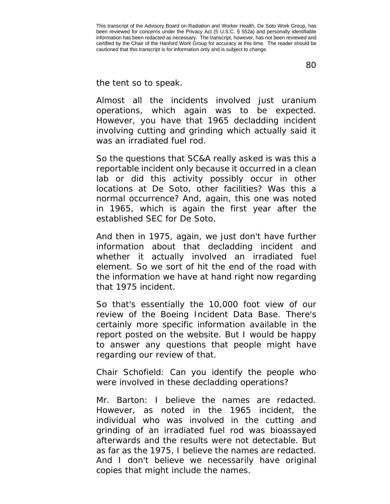80

the tent so to speak.

Almost all the incidents involved just uranium operations, which again was to be expected. However, you have that 1965 decladding incident involving cutting and grinding which actually said it was an irradiated fuel rod.

So the questions that SC&A really asked is was this a reportable incident only because it occurred in a clean lab or did this activity possibly occur in other locations at De Soto, other facilities? Was this a normal occurrence? And, again, this one was noted in 1965, which is again the first year after the established SEC for De Soto.

And then in 1975, again, we just don't have further information about that decladding incident and whether it actually involved an irradiated fuel element. So we sort of hit the end of the road with the information we have at hand right now regarding that 1975 incident.

So that's essentially the 10,000 foot view of our review of the Boeing Incident Data Base. There's certainly more specific information available in the report posted on the website. But I would be happy to answer any questions that people might have regarding our review of that.

Chair Schofield: Can you identify the people who were involved in these decladding operations?

Mr. Barton: I believe the names are redacted. However, as noted in the 1965 incident, the individual who was involved in the cutting and grinding of an irradiated fuel rod was bioassayed afterwards and the results were not detectable. But as far as the 1975, I believe the names are redacted. And I don't believe we necessarily have original copies that might include the names.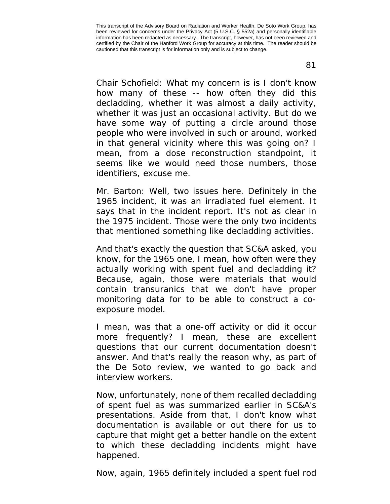Chair Schofield: What my concern is is I don't know how many of these -- how often they did this decladding, whether it was almost a daily activity, whether it was just an occasional activity. But do we have some way of putting a circle around those people who were involved in such or around, worked in that general vicinity where this was going on? I mean, from a dose reconstruction standpoint, it seems like we would need those numbers, those identifiers, excuse me.

Mr. Barton: Well, two issues here. Definitely in the 1965 incident, it was an irradiated fuel element. It says that in the incident report. It's not as clear in the 1975 incident. Those were the only two incidents that mentioned something like decladding activities.

And that's exactly the question that SC&A asked, you know, for the 1965 one, I mean, how often were they actually working with spent fuel and decladding it? Because, again, those were materials that would contain transuranics that we don't have proper monitoring data for to be able to construct a coexposure model.

I mean, was that a one-off activity or did it occur more frequently? I mean, these are excellent questions that our current documentation doesn't answer. And that's really the reason why, as part of the De Soto review, we wanted to go back and interview workers.

Now, unfortunately, none of them recalled decladding of spent fuel as was summarized earlier in SC&A's presentations. Aside from that, I don't know what documentation is available or out there for us to capture that might get a better handle on the extent to which these decladding incidents might have happened.

Now, again, 1965 definitely included a spent fuel rod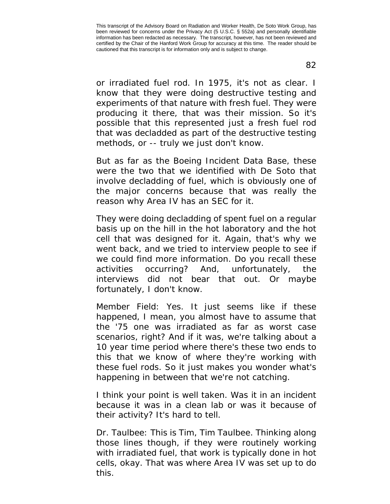or irradiated fuel rod. In 1975, it's not as clear. I know that they were doing destructive testing and experiments of that nature with fresh fuel. They were producing it there, that was their mission. So it's possible that this represented just a fresh fuel rod that was decladded as part of the destructive testing methods, or -- truly we just don't know.

But as far as the Boeing Incident Data Base, these were the two that we identified with De Soto that involve decladding of fuel, which is obviously one of the major concerns because that was really the reason why Area IV has an SEC for it.

They were doing decladding of spent fuel on a regular basis up on the hill in the hot laboratory and the hot cell that was designed for it. Again, that's why we went back, and we tried to interview people to see if we could find more information. Do you recall these activities occurring? And, unfortunately, the interviews did not bear that out. Or maybe fortunately, I don't know.

Member Field: Yes. It just seems like if these happened, I mean, you almost have to assume that the '75 one was irradiated as far as worst case scenarios, right? And if it was, we're talking about a 10 year time period where there's these two ends to this that we know of where they're working with these fuel rods. So it just makes you wonder what's happening in between that we're not catching.

I think your point is well taken. Was it in an incident because it was in a clean lab or was it because of their activity? It's hard to tell.

Dr. Taulbee: This is Tim, Tim Taulbee. Thinking along those lines though, if they were routinely working with irradiated fuel, that work is typically done in hot cells, okay. That was where Area IV was set up to do this.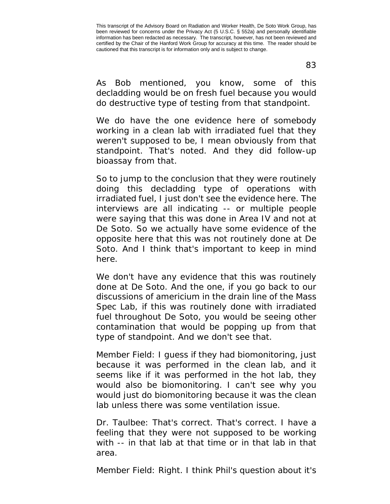As Bob mentioned, you know, some of this decladding would be on fresh fuel because you would do destructive type of testing from that standpoint.

We do have the one evidence here of somebody working in a clean lab with irradiated fuel that they weren't supposed to be, I mean obviously from that standpoint. That's noted. And they did follow-up bioassay from that.

So to jump to the conclusion that they were routinely doing this decladding type of operations with irradiated fuel, I just don't see the evidence here. The interviews are all indicating -- or multiple people were saying that this was done in Area IV and not at De Soto. So we actually have some evidence of the opposite here that this was not routinely done at De Soto. And I think that's important to keep in mind here.

We don't have any evidence that this was routinely done at De Soto. And the one, if you go back to our discussions of americium in the drain line of the Mass Spec Lab, if this was routinely done with irradiated fuel throughout De Soto, you would be seeing other contamination that would be popping up from that type of standpoint. And we don't see that.

Member Field: I guess if they had biomonitoring, just because it was performed in the clean lab, and it seems like if it was performed in the hot lab, they would also be biomonitoring. I can't see why you would just do biomonitoring because it was the clean lab unless there was some ventilation issue.

Dr. Taulbee: That's correct. That's correct. I have a feeling that they were not supposed to be working with -- in that lab at that time or in that lab in that area.

Member Field: Right. I think Phil's question about it's

This transcript of the Advisory Board on Radiation and Worker Health, De Soto Work Group, has been reviewed for concerns under the Privacy Act (5 U.S.C. § 552a) and personally identifiable information has been redacted as necessary. The transcript, however, has not been reviewed and certified by the Chair of the Hanford Work Group for accuracy at this time. The reader should be cautioned that this transcript is for information only and is subject to change.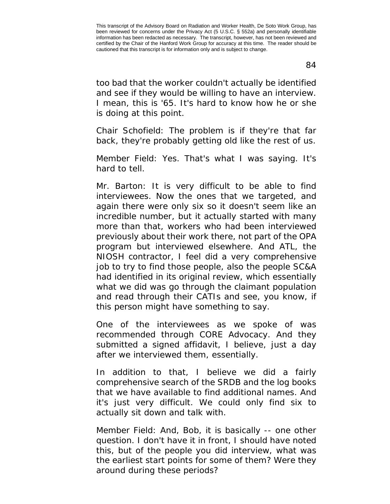too bad that the worker couldn't actually be identified and see if they would be willing to have an interview. I mean, this is '65. It's hard to know how he or she is doing at this point.

Chair Schofield: The problem is if they're that far back, they're probably getting old like the rest of us.

Member Field: Yes. That's what I was saying. It's hard to tell.

Mr. Barton: It is very difficult to be able to find interviewees. Now the ones that we targeted, and again there were only six so it doesn't seem like an incredible number, but it actually started with many more than that, workers who had been interviewed previously about their work there, not part of the OPA program but interviewed elsewhere. And ATL, the NIOSH contractor, I feel did a very comprehensive job to try to find those people, also the people SC&A had identified in its original review, which essentially what we did was go through the claimant population and read through their CATIs and see, you know, if this person might have something to say.

One of the interviewees as we spoke of was recommended through CORE Advocacy. And they submitted a signed affidavit, I believe, just a day after we interviewed them, essentially.

In addition to that, I believe we did a fairly comprehensive search of the SRDB and the log books that we have available to find additional names. And it's just very difficult. We could only find six to actually sit down and talk with.

Member Field: And, Bob, it is basically -- one other question. I don't have it in front, I should have noted this, but of the people you did interview, what was the earliest start points for some of them? Were they around during these periods?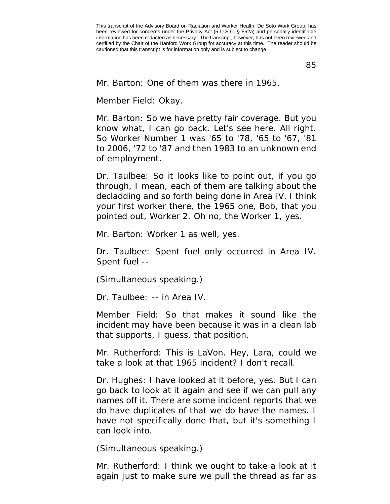85

Mr. Barton: One of them was there in 1965.

Member Field: Okay.

Mr. Barton: So we have pretty fair coverage. But you know what, I can go back. Let's see here. All right. So Worker Number 1 was '65 to '78, '65 to '67, '81 to 2006, '72 to '87 and then 1983 to an unknown end of employment.

Dr. Taulbee: So it looks like to point out, if you go through, I mean, each of them are talking about the decladding and so forth being done in Area IV. I think your first worker there, the 1965 one, Bob, that you pointed out, Worker 2. Oh no, the Worker 1, yes.

Mr. Barton: Worker 1 as well, yes.

Dr. Taulbee: Spent fuel only occurred in Area IV. Spent fuel --

(Simultaneous speaking.)

Dr. Taulbee: -- in Area IV.

Member Field: So that makes it sound like the incident may have been because it was in a clean lab that supports, I guess, that position.

Mr. Rutherford: This is LaVon. Hey, Lara, could we take a look at that 1965 incident? I don't recall.

Dr. Hughes: I have looked at it before, yes. But I can go back to look at it again and see if we can pull any names off it. There are some incident reports that we do have duplicates of that we do have the names. I have not specifically done that, but it's something I can look into.

(Simultaneous speaking.)

Mr. Rutherford: I think we ought to take a look at it again just to make sure we pull the thread as far as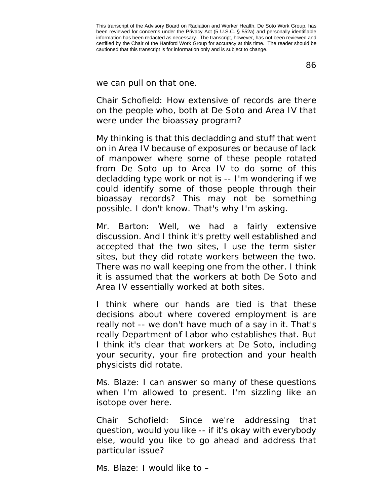86

we can pull on that one.

Chair Schofield: How extensive of records are there on the people who, both at De Soto and Area IV that were under the bioassay program?

My thinking is that this decladding and stuff that went on in Area IV because of exposures or because of lack of manpower where some of these people rotated from De Soto up to Area IV to do some of this decladding type work or not is -- I'm wondering if we could identify some of those people through their bioassay records? This may not be something possible. I don't know. That's why I'm asking.

Mr. Barton: Well, we had a fairly extensive discussion. And I think it's pretty well established and accepted that the two sites, I use the term sister sites, but they did rotate workers between the two. There was no wall keeping one from the other. I think it is assumed that the workers at both De Soto and Area IV essentially worked at both sites.

I think where our hands are tied is that these decisions about where covered employment is are really not -- we don't have much of a say in it. That's really Department of Labor who establishes that. But I think it's clear that workers at De Soto, including your security, your fire protection and your health physicists did rotate.

Ms. Blaze: I can answer so many of these questions when I'm allowed to present. I'm sizzling like an isotope over here.

Chair Schofield: Since we're addressing that question, would you like -- if it's okay with everybody else, would you like to go ahead and address that particular issue?

Ms. Blaze: I would like to –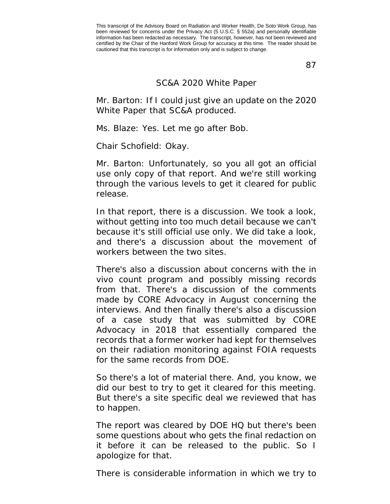87

## SC&A 2020 White Paper

Mr. Barton: If I could just give an update on the 2020 White Paper that SC&A produced.

Ms. Blaze: Yes. Let me go after Bob.

Chair Schofield: Okay.

Mr. Barton: Unfortunately, so you all got an official use only copy of that report. And we're still working through the various levels to get it cleared for public release.

In that report, there is a discussion. We took a look, without getting into too much detail because we can't because it's still official use only. We did take a look, and there's a discussion about the movement of workers between the two sites.

There's also a discussion about concerns with the in vivo count program and possibly missing records from that. There's a discussion of the comments made by CORE Advocacy in August concerning the interviews. And then finally there's also a discussion of a case study that was submitted by CORE Advocacy in 2018 that essentially compared the records that a former worker had kept for themselves on their radiation monitoring against FOIA requests for the same records from DOE.

So there's a lot of material there. And, you know, we did our best to try to get it cleared for this meeting. But there's a site specific deal we reviewed that has to happen.

The report was cleared by DOE HQ but there's been some questions about who gets the final redaction on it before it can be released to the public. So I apologize for that.

There is considerable information in which we try to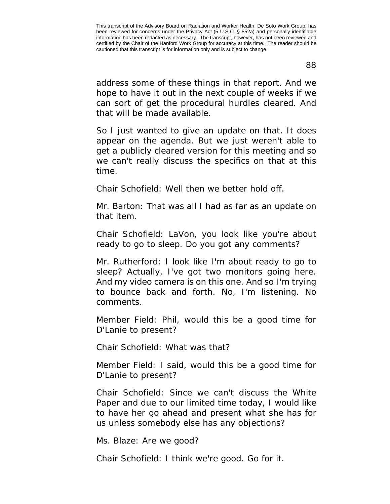88

address some of these things in that report. And we hope to have it out in the next couple of weeks if we can sort of get the procedural hurdles cleared. And that will be made available.

So I just wanted to give an update on that. It does appear on the agenda. But we just weren't able to get a publicly cleared version for this meeting and so we can't really discuss the specifics on that at this time.

Chair Schofield: Well then we better hold off.

Mr. Barton: That was all I had as far as an update on that item.

Chair Schofield: LaVon, you look like you're about ready to go to sleep. Do you got any comments?

Mr. Rutherford: I look like I'm about ready to go to sleep? Actually, I've got two monitors going here. And my video camera is on this one. And so I'm trying to bounce back and forth. No, I'm listening. No comments.

Member Field: Phil, would this be a good time for D'Lanie to present?

Chair Schofield: What was that?

Member Field: I said, would this be a good time for D'Lanie to present?

Chair Schofield: Since we can't discuss the White Paper and due to our limited time today, I would like to have her go ahead and present what she has for us unless somebody else has any objections?

Ms. Blaze: Are we good?

Chair Schofield: I think we're good. Go for it.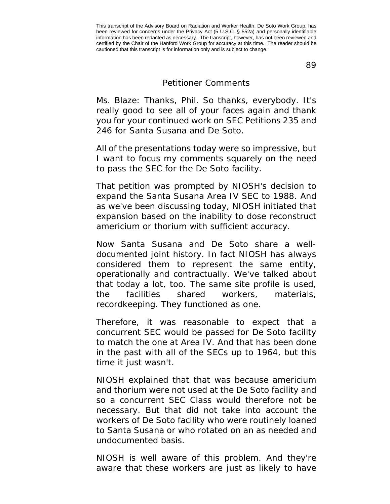89

## Petitioner Comments

Ms. Blaze: Thanks, Phil. So thanks, everybody. It's really good to see all of your faces again and thank you for your continued work on SEC Petitions 235 and 246 for Santa Susana and De Soto.

All of the presentations today were so impressive, but I want to focus my comments squarely on the need to pass the SEC for the De Soto facility.

That petition was prompted by NIOSH's decision to expand the Santa Susana Area IV SEC to 1988. And as we've been discussing today, NIOSH initiated that expansion based on the inability to dose reconstruct americium or thorium with sufficient accuracy.

Now Santa Susana and De Soto share a welldocumented joint history. In fact NIOSH has always considered them to represent the same entity, operationally and contractually. We've talked about that today a lot, too. The same site profile is used, the facilities shared workers, materials, recordkeeping. They functioned as one.

Therefore, it was reasonable to expect that a concurrent SEC would be passed for De Soto facility to match the one at Area IV. And that has been done in the past with all of the SECs up to 1964, but this time it just wasn't.

NIOSH explained that that was because americium and thorium were not used at the De Soto facility and so a concurrent SEC Class would therefore not be necessary. But that did not take into account the workers of De Soto facility who were routinely loaned to Santa Susana or who rotated on an as needed and undocumented basis.

NIOSH is well aware of this problem. And they're aware that these workers are just as likely to have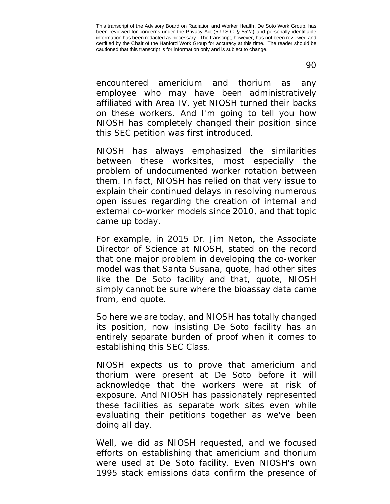encountered americium and thorium as any employee who may have been administratively affiliated with Area IV, yet NIOSH turned their backs on these workers. And I'm going to tell you how NIOSH has completely changed their position since this SEC petition was first introduced.

NIOSH has always emphasized the similarities between these worksites, most especially the problem of undocumented worker rotation between them. In fact, NIOSH has relied on that very issue to explain their continued delays in resolving numerous open issues regarding the creation of internal and external co-worker models since 2010, and that topic came up today.

For example, in 2015 Dr. Jim Neton, the Associate Director of Science at NIOSH, stated on the record that one major problem in developing the co-worker model was that Santa Susana, quote, had other sites like the De Soto facility and that, quote, NIOSH simply cannot be sure where the bioassay data came from, end quote.

So here we are today, and NIOSH has totally changed its position, now insisting De Soto facility has an entirely separate burden of proof when it comes to establishing this SEC Class.

NIOSH expects us to prove that americium and thorium were present at De Soto before it will acknowledge that the workers were at risk of exposure. And NIOSH has passionately represented these facilities as separate work sites even while evaluating their petitions together as we've been doing all day.

Well, we did as NIOSH requested, and we focused efforts on establishing that americium and thorium were used at De Soto facility. Even NIOSH's own 1995 stack emissions data confirm the presence of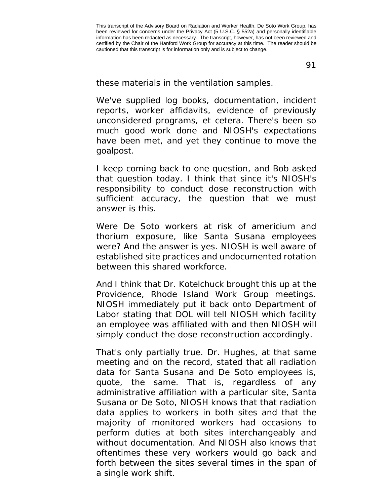91

these materials in the ventilation samples.

We've supplied log books, documentation, incident reports, worker affidavits, evidence of previously unconsidered programs, et cetera. There's been so much good work done and NIOSH's expectations have been met, and yet they continue to move the goalpost.

I keep coming back to one question, and Bob asked that question today. I think that since it's NIOSH's responsibility to conduct dose reconstruction with sufficient accuracy, the question that we must answer is this.

Were De Soto workers at risk of americium and thorium exposure, like Santa Susana employees were? And the answer is yes. NIOSH is well aware of established site practices and undocumented rotation between this shared workforce.

And I think that Dr. Kotelchuck brought this up at the Providence, Rhode Island Work Group meetings. NIOSH immediately put it back onto Department of Labor stating that DOL will tell NIOSH which facility an employee was affiliated with and then NIOSH will simply conduct the dose reconstruction accordingly.

That's only partially true. Dr. Hughes, at that same meeting and on the record, stated that all radiation data for Santa Susana and De Soto employees is, quote, the same. That is, regardless of any administrative affiliation with a particular site, Santa Susana or De Soto, NIOSH knows that that radiation data applies to workers in both sites and that the majority of monitored workers had occasions to perform duties at both sites interchangeably and without documentation. And NIOSH also knows that oftentimes these very workers would go back and forth between the sites several times in the span of a single work shift.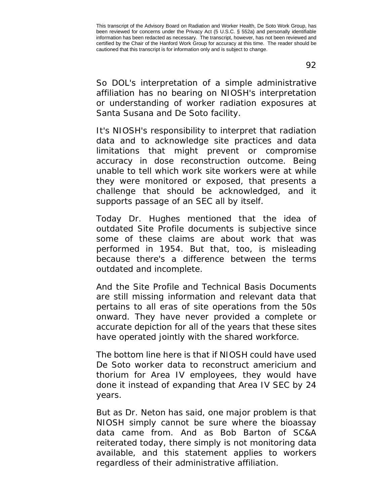So DOL's interpretation of a simple administrative affiliation has no bearing on NIOSH's interpretation or understanding of worker radiation exposures at Santa Susana and De Soto facility.

It's NIOSH's responsibility to interpret that radiation data and to acknowledge site practices and data limitations that might prevent or compromise accuracy in dose reconstruction outcome. Being unable to tell which work site workers were at while they were monitored or exposed, that presents a challenge that should be acknowledged, and it supports passage of an SEC all by itself.

Today Dr. Hughes mentioned that the idea of outdated Site Profile documents is subjective since some of these claims are about work that was performed in 1954. But that, too, is misleading because there's a difference between the terms outdated and incomplete.

And the Site Profile and Technical Basis Documents are still missing information and relevant data that pertains to all eras of site operations from the 50s onward. They have never provided a complete or accurate depiction for all of the years that these sites have operated jointly with the shared workforce.

The bottom line here is that if NIOSH could have used De Soto worker data to reconstruct americium and thorium for Area IV employees, they would have done it instead of expanding that Area IV SEC by 24 years.

But as Dr. Neton has said, one major problem is that NIOSH simply cannot be sure where the bioassay data came from. And as Bob Barton of SC&A reiterated today, there simply is not monitoring data available, and this statement applies to workers regardless of their administrative affiliation.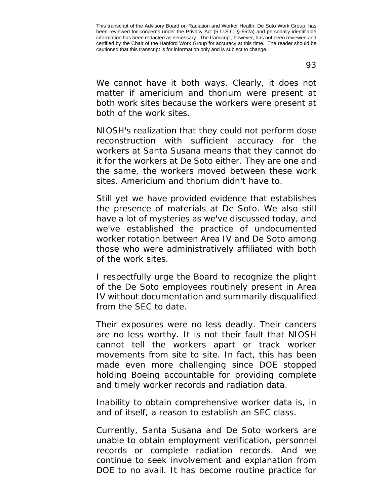93

We cannot have it both ways. Clearly, it does not matter if americium and thorium were present at both work sites because the workers were present at both of the work sites.

NIOSH's realization that they could not perform dose reconstruction with sufficient accuracy for the workers at Santa Susana means that they cannot do it for the workers at De Soto either. They are one and the same, the workers moved between these work sites. Americium and thorium didn't have to.

Still yet we have provided evidence that establishes the presence of materials at De Soto. We also still have a lot of mysteries as we've discussed today, and we've established the practice of undocumented worker rotation between Area IV and De Soto among those who were administratively affiliated with both of the work sites.

I respectfully urge the Board to recognize the plight of the De Soto employees routinely present in Area IV without documentation and summarily disqualified from the SEC to date.

Their exposures were no less deadly. Their cancers are no less worthy. It is not their fault that NIOSH cannot tell the workers apart or track worker movements from site to site. In fact, this has been made even more challenging since DOE stopped holding Boeing accountable for providing complete and timely worker records and radiation data.

Inability to obtain comprehensive worker data is, in and of itself, a reason to establish an SEC class.

Currently, Santa Susana and De Soto workers are unable to obtain employment verification, personnel records or complete radiation records. And we continue to seek involvement and explanation from DOE to no avail. It has become routine practice for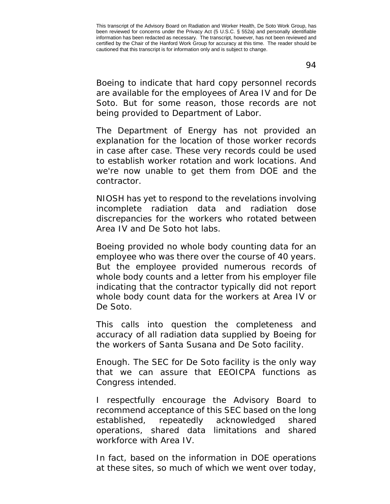Boeing to indicate that hard copy personnel records are available for the employees of Area IV and for De Soto. But for some reason, those records are not being provided to Department of Labor.

The Department of Energy has not provided an explanation for the location of those worker records in case after case. These very records could be used to establish worker rotation and work locations. And we're now unable to get them from DOE and the contractor.

NIOSH has yet to respond to the revelations involving incomplete radiation data and radiation dose discrepancies for the workers who rotated between Area IV and De Soto hot labs.

Boeing provided no whole body counting data for an employee who was there over the course of 40 years. But the employee provided numerous records of whole body counts and a letter from his employer file indicating that the contractor typically did not report whole body count data for the workers at Area IV or De Soto.

This calls into question the completeness and accuracy of all radiation data supplied by Boeing for the workers of Santa Susana and De Soto facility.

Enough. The SEC for De Soto facility is the only way that we can assure that EEOICPA functions as Congress intended.

I respectfully encourage the Advisory Board to recommend acceptance of this SEC based on the long established, repeatedly acknowledged shared operations, shared data limitations and shared workforce with Area IV.

In fact, based on the information in DOE operations at these sites, so much of which we went over today,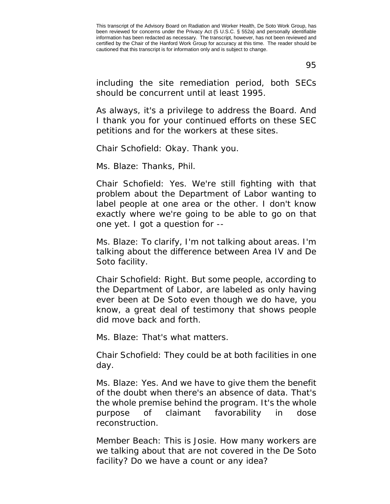95

including the site remediation period, both SECs should be concurrent until at least 1995.

As always, it's a privilege to address the Board. And I thank you for your continued efforts on these SEC petitions and for the workers at these sites.

Chair Schofield: Okay. Thank you.

Ms. Blaze: Thanks, Phil.

Chair Schofield: Yes. We're still fighting with that problem about the Department of Labor wanting to label people at one area or the other. I don't know exactly where we're going to be able to go on that one yet. I got a question for --

Ms. Blaze: To clarify, I'm not talking about areas. I'm talking about the difference between Area IV and De Soto facility.

Chair Schofield: Right. But some people, according to the Department of Labor, are labeled as only having ever been at De Soto even though we do have, you know, a great deal of testimony that shows people did move back and forth.

Ms. Blaze: That's what matters.

Chair Schofield: They could be at both facilities in one day.

Ms. Blaze: Yes. And we have to give them the benefit of the doubt when there's an absence of data. That's the whole premise behind the program. It's the whole purpose of claimant favorability in dose reconstruction.

Member Beach: This is Josie. How many workers are we talking about that are not covered in the De Soto facility? Do we have a count or any idea?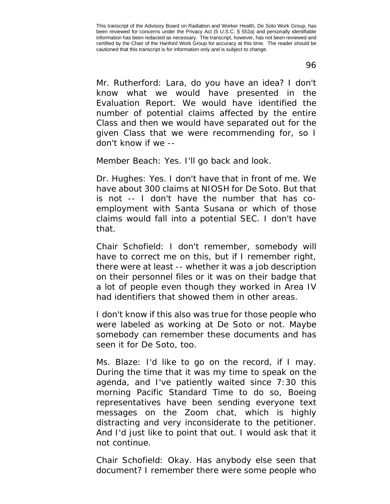96

Mr. Rutherford: Lara, do you have an idea? I don't know what we would have presented in the Evaluation Report. We would have identified the number of potential claims affected by the entire Class and then we would have separated out for the given Class that we were recommending for, so I don't know if we --

Member Beach: Yes. I'll go back and look.

Dr. Hughes: Yes. I don't have that in front of me. We have about 300 claims at NIOSH for De Soto. But that is not -- I don't have the number that has coemployment with Santa Susana or which of those claims would fall into a potential SEC. I don't have that.

Chair Schofield: I don't remember, somebody will have to correct me on this, but if I remember right, there were at least -- whether it was a job description on their personnel files or it was on their badge that a lot of people even though they worked in Area IV had identifiers that showed them in other areas.

I don't know if this also was true for those people who were labeled as working at De Soto or not. Maybe somebody can remember these documents and has seen it for De Soto, too.

Ms. Blaze: I'd like to go on the record, if I may. During the time that it was my time to speak on the agenda, and I've patiently waited since 7:30 this morning Pacific Standard Time to do so, Boeing representatives have been sending everyone text messages on the Zoom chat, which is highly distracting and very inconsiderate to the petitioner. And I'd just like to point that out. I would ask that it not continue.

Chair Schofield: Okay. Has anybody else seen that document? I remember there were some people who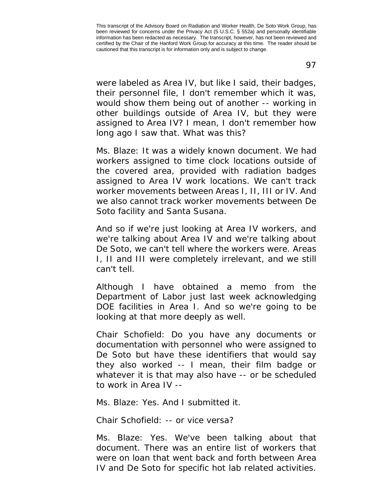were labeled as Area IV, but like I said, their badges, their personnel file, I don't remember which it was, would show them being out of another -- working in other buildings outside of Area IV, but they were assigned to Area IV? I mean, I don't remember how long ago I saw that. What was this?

Ms. Blaze: It was a widely known document. We had workers assigned to time clock locations outside of the covered area, provided with radiation badges assigned to Area IV work locations. We can't track worker movements between Areas I, II, III or IV. And we also cannot track worker movements between De Soto facility and Santa Susana.

And so if we're just looking at Area IV workers, and we're talking about Area IV and we're talking about De Soto, we can't tell where the workers were. Areas I, II and III were completely irrelevant, and we still can't tell.

Although I have obtained a memo from the Department of Labor just last week acknowledging DOE facilities in Area I. And so we're going to be looking at that more deeply as well.

Chair Schofield: Do you have any documents or documentation with personnel who were assigned to De Soto but have these identifiers that would say they also worked -- I mean, their film badge or whatever it is that may also have -- or be scheduled to work in Area IV --

Ms. Blaze: Yes. And I submitted it.

Chair Schofield: -- or vice versa?

Ms. Blaze: Yes. We've been talking about that document. There was an entire list of workers that were on loan that went back and forth between Area IV and De Soto for specific hot lab related activities.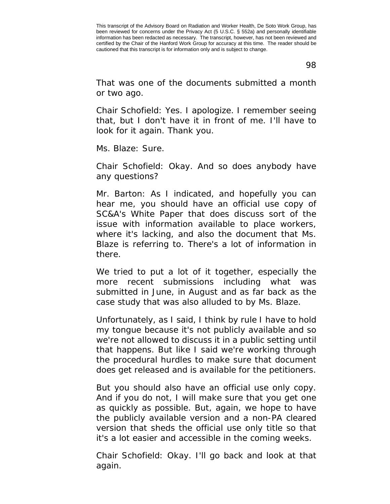98

That was one of the documents submitted a month or two ago.

Chair Schofield: Yes. I apologize. I remember seeing that, but I don't have it in front of me. I'll have to look for it again. Thank you.

Ms. Blaze: Sure.

Chair Schofield: Okay. And so does anybody have any questions?

Mr. Barton: As I indicated, and hopefully you can hear me, you should have an official use copy of SC&A's White Paper that does discuss sort of the issue with information available to place workers, where it's lacking, and also the document that Ms. Blaze is referring to. There's a lot of information in there.

We tried to put a lot of it together, especially the more recent submissions including what was submitted in June, in August and as far back as the case study that was also alluded to by Ms. Blaze.

Unfortunately, as I said, I think by rule I have to hold my tongue because it's not publicly available and so we're not allowed to discuss it in a public setting until that happens. But like I said we're working through the procedural hurdles to make sure that document does get released and is available for the petitioners.

But you should also have an official use only copy. And if you do not, I will make sure that you get one as quickly as possible. But, again, we hope to have the publicly available version and a non-PA cleared version that sheds the official use only title so that it's a lot easier and accessible in the coming weeks.

Chair Schofield: Okay. I'll go back and look at that again.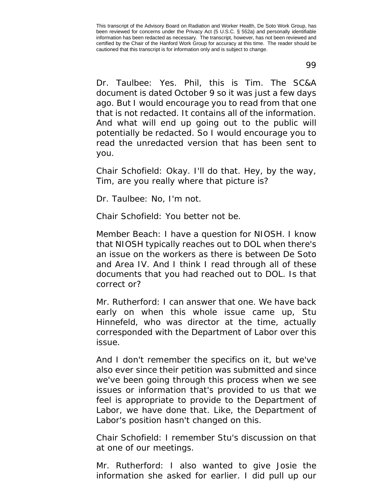Dr. Taulbee: Yes. Phil, this is Tim. The SC&A document is dated October 9 so it was just a few days ago. But I would encourage you to read from that one that is not redacted. It contains all of the information. And what will end up going out to the public will potentially be redacted. So I would encourage you to read the unredacted version that has been sent to you.

Chair Schofield: Okay. I'll do that. Hey, by the way, Tim, are you really where that picture is?

Dr. Taulbee: No, I'm not.

Chair Schofield: You better not be.

Member Beach: I have a question for NIOSH. I know that NIOSH typically reaches out to DOL when there's an issue on the workers as there is between De Soto and Area IV. And I think I read through all of these documents that you had reached out to DOL. Is that correct or?

Mr. Rutherford: I can answer that one. We have back early on when this whole issue came up, Stu Hinnefeld, who was director at the time, actually corresponded with the Department of Labor over this issue.

And I don't remember the specifics on it, but we've also ever since their petition was submitted and since we've been going through this process when we see issues or information that's provided to us that we feel is appropriate to provide to the Department of Labor, we have done that. Like, the Department of Labor's position hasn't changed on this.

Chair Schofield: I remember Stu's discussion on that at one of our meetings.

Mr. Rutherford: I also wanted to give Josie the information she asked for earlier. I did pull up our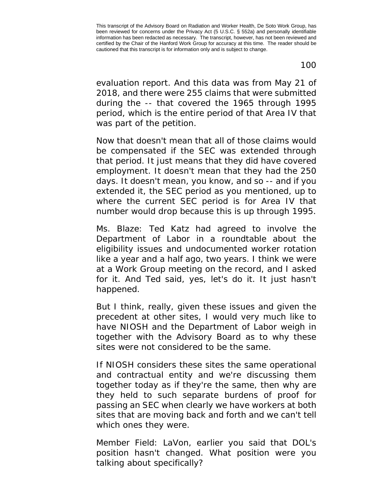100

evaluation report. And this data was from May 21 of 2018, and there were 255 claims that were submitted during the -- that covered the 1965 through 1995 period, which is the entire period of that Area IV that was part of the petition.

Now that doesn't mean that all of those claims would be compensated if the SEC was extended through that period. It just means that they did have covered employment. It doesn't mean that they had the 250 days. It doesn't mean, you know, and so -- and if you extended it, the SEC period as you mentioned, up to where the current SEC period is for Area IV that number would drop because this is up through 1995.

Ms. Blaze: Ted Katz had agreed to involve the Department of Labor in a roundtable about the eligibility issues and undocumented worker rotation like a year and a half ago, two years. I think we were at a Work Group meeting on the record, and I asked for it. And Ted said, yes, let's do it. It just hasn't happened.

But I think, really, given these issues and given the precedent at other sites, I would very much like to have NIOSH and the Department of Labor weigh in together with the Advisory Board as to why these sites were not considered to be the same.

If NIOSH considers these sites the same operational and contractual entity and we're discussing them together today as if they're the same, then why are they held to such separate burdens of proof for passing an SEC when clearly we have workers at both sites that are moving back and forth and we can't tell which ones they were.

Member Field: LaVon, earlier you said that DOL's position hasn't changed. What position were you talking about specifically?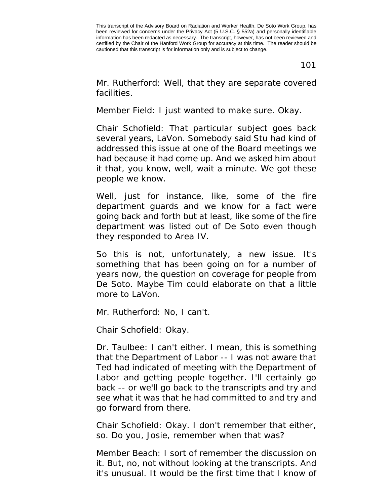101

Mr. Rutherford: Well, that they are separate covered facilities.

Member Field: I just wanted to make sure. Okay.

Chair Schofield: That particular subject goes back several years, LaVon. Somebody said Stu had kind of addressed this issue at one of the Board meetings we had because it had come up. And we asked him about it that, you know, well, wait a minute. We got these people we know.

Well, just for instance, like, some of the fire department guards and we know for a fact were going back and forth but at least, like some of the fire department was listed out of De Soto even though they responded to Area IV.

So this is not, unfortunately, a new issue. It's something that has been going on for a number of years now, the question on coverage for people from De Soto. Maybe Tim could elaborate on that a little more to LaVon.

Mr. Rutherford: No, I can't.

Chair Schofield: Okay.

Dr. Taulbee: I can't either. I mean, this is something that the Department of Labor -- I was not aware that Ted had indicated of meeting with the Department of Labor and getting people together. I'll certainly go back -- or we'll go back to the transcripts and try and see what it was that he had committed to and try and go forward from there.

Chair Schofield: Okay. I don't remember that either, so. Do you, Josie, remember when that was?

Member Beach: I sort of remember the discussion on it. But, no, not without looking at the transcripts. And it's unusual. It would be the first time that I know of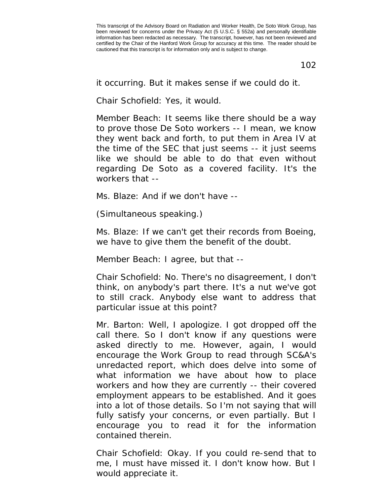102

it occurring. But it makes sense if we could do it.

Chair Schofield: Yes, it would.

Member Beach: It seems like there should be a way to prove those De Soto workers -- I mean, we know they went back and forth, to put them in Area IV at the time of the SEC that just seems -- it just seems like we should be able to do that even without regarding De Soto as a covered facility. It's the workers that --

Ms. Blaze: And if we don't have --

(Simultaneous speaking.)

Ms. Blaze: If we can't get their records from Boeing, we have to give them the benefit of the doubt.

Member Beach: I agree, but that --

Chair Schofield: No. There's no disagreement, I don't think, on anybody's part there. It's a nut we've got to still crack. Anybody else want to address that particular issue at this point?

Mr. Barton: Well, I apologize. I got dropped off the call there. So I don't know if any questions were asked directly to me. However, again, I would encourage the Work Group to read through SC&A's unredacted report, which does delve into some of what information we have about how to place workers and how they are currently -- their covered employment appears to be established. And it goes into a lot of those details. So I'm not saying that will fully satisfy your concerns, or even partially. But I encourage you to read it for the information contained therein.

Chair Schofield: Okay. If you could re-send that to me, I must have missed it. I don't know how. But I would appreciate it.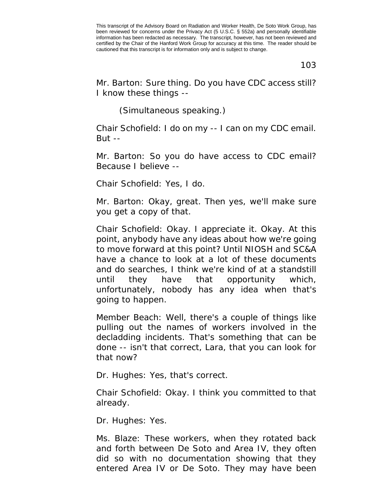103

Mr. Barton: Sure thing. Do you have CDC access still? I know these things --

(Simultaneous speaking.)

Chair Schofield: I do on my -- I can on my CDC email. But  $-$ 

Mr. Barton: So you do have access to CDC email? Because I believe --

Chair Schofield: Yes, I do.

Mr. Barton: Okay, great. Then yes, we'll make sure you get a copy of that.

Chair Schofield: Okay. I appreciate it. Okay. At this point, anybody have any ideas about how we're going to move forward at this point? Until NIOSH and SC&A have a chance to look at a lot of these documents and do searches, I think we're kind of at a standstill until they have that opportunity which, unfortunately, nobody has any idea when that's going to happen.

Member Beach: Well, there's a couple of things like pulling out the names of workers involved in the decladding incidents. That's something that can be done -- isn't that correct, Lara, that you can look for that now?

Dr. Hughes: Yes, that's correct.

Chair Schofield: Okay. I think you committed to that already.

Dr. Hughes: Yes.

Ms. Blaze: These workers, when they rotated back and forth between De Soto and Area IV, they often did so with no documentation showing that they entered Area IV or De Soto. They may have been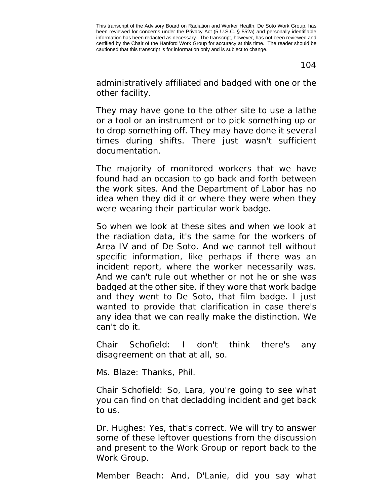104

administratively affiliated and badged with one or the other facility.

They may have gone to the other site to use a lathe or a tool or an instrument or to pick something up or to drop something off. They may have done it several times during shifts. There just wasn't sufficient documentation.

The majority of monitored workers that we have found had an occasion to go back and forth between the work sites. And the Department of Labor has no idea when they did it or where they were when they were wearing their particular work badge.

So when we look at these sites and when we look at the radiation data, it's the same for the workers of Area IV and of De Soto. And we cannot tell without specific information, like perhaps if there was an incident report, where the worker necessarily was. And we can't rule out whether or not he or she was badged at the other site, if they wore that work badge and they went to De Soto, that film badge. I just wanted to provide that clarification in case there's any idea that we can really make the distinction. We can't do it.

Chair Schofield: I don't think there's any disagreement on that at all, so.

Ms. Blaze: Thanks, Phil.

Chair Schofield: So, Lara, you're going to see what you can find on that decladding incident and get back to us.

Dr. Hughes: Yes, that's correct. We will try to answer some of these leftover questions from the discussion and present to the Work Group or report back to the Work Group.

Member Beach: And, D'Lanie, did you say what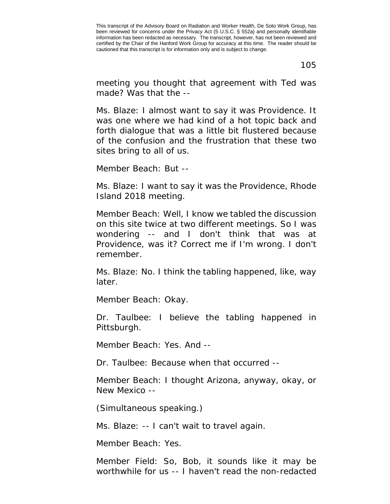105

meeting you thought that agreement with Ted was made? Was that the --

Ms. Blaze: I almost want to say it was Providence. It was one where we had kind of a hot topic back and forth dialogue that was a little bit flustered because of the confusion and the frustration that these two sites bring to all of us.

Member Beach: But --

Ms. Blaze: I want to say it was the Providence, Rhode Island 2018 meeting.

Member Beach: Well, I know we tabled the discussion on this site twice at two different meetings. So I was wondering -- and I don't think that was at Providence, was it? Correct me if I'm wrong. I don't remember.

Ms. Blaze: No. I think the tabling happened, like, way later.

Member Beach: Okay.

Dr. Taulbee: I believe the tabling happened in Pittsburgh.

Member Beach: Yes. And --

Dr. Taulbee: Because when that occurred --

Member Beach: I thought Arizona, anyway, okay, or New Mexico --

(Simultaneous speaking.)

Ms. Blaze: -- I can't wait to travel again.

Member Beach: Yes.

Member Field: So, Bob, it sounds like it may be worthwhile for us -- I haven't read the non-redacted

This transcript of the Advisory Board on Radiation and Worker Health, De Soto Work Group, has been reviewed for concerns under the Privacy Act (5 U.S.C. § 552a) and personally identifiable information has been redacted as necessary. The transcript, however, has not been reviewed and certified by the Chair of the Hanford Work Group for accuracy at this time. The reader should be cautioned that this transcript is for information only and is subject to change.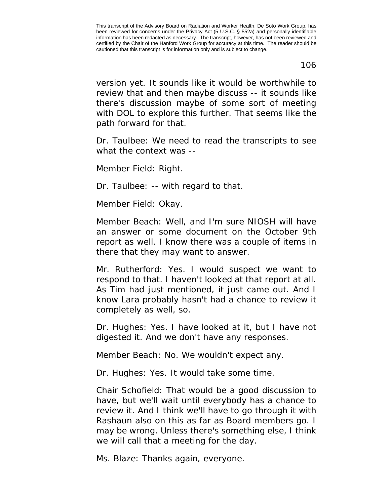106

version yet. It sounds like it would be worthwhile to review that and then maybe discuss -- it sounds like there's discussion maybe of some sort of meeting with DOL to explore this further. That seems like the path forward for that.

Dr. Taulbee: We need to read the transcripts to see what the context was --

Member Field: Right.

Dr. Taulbee: -- with regard to that.

Member Field: Okay.

Member Beach: Well, and I'm sure NIOSH will have an answer or some document on the October 9th report as well. I know there was a couple of items in there that they may want to answer.

Mr. Rutherford: Yes. I would suspect we want to respond to that. I haven't looked at that report at all. As Tim had just mentioned, it just came out. And I know Lara probably hasn't had a chance to review it completely as well, so.

Dr. Hughes: Yes. I have looked at it, but I have not digested it. And we don't have any responses.

Member Beach: No. We wouldn't expect any.

Dr. Hughes: Yes. It would take some time.

Chair Schofield: That would be a good discussion to have, but we'll wait until everybody has a chance to review it. And I think we'll have to go through it with Rashaun also on this as far as Board members go. I may be wrong. Unless there's something else, I think we will call that a meeting for the day.

Ms. Blaze: Thanks again, everyone.